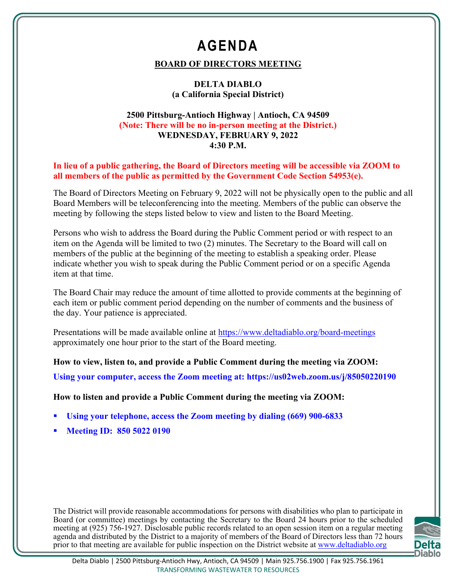# **AGENDA**

### **BOARD OF DIRECTORS MEETING**

#### **DELTA DIABLO (a California Special District)**

#### **2500 Pittsburg-Antioch Highway | Antioch, CA 94509 (Note: There will be no in-person meeting at the District.) WEDNESDAY, FEBRUARY 9, 2022 4:30 P.M.**

**In lieu of a public gathering, the Board of Directors meeting will be accessible via ZOOM to all members of the public as permitted by the Government Code Section 54953(e).**

The Board of Directors Meeting on February 9, 2022 will not be physically open to the public and all Board Members will be teleconferencing into the meeting. Members of the public can observe the meeting by following the steps listed below to view and listen to the Board Meeting.

Persons who wish to address the Board during the Public Comment period or with respect to an item on the Agenda will be limited to two (2) minutes. The Secretary to the Board will call on members of the public at the beginning of the meeting to establish a speaking order. Please indicate whether you wish to speak during the Public Comment period or on a specific Agenda item at that time.

The Board Chair may reduce the amount of time allotted to provide comments at the beginning of each item or public comment period depending on the number of comments and the business of the day. Your patience is appreciated.

Presentations will be made available online at https://www.deltadiablo.org/board-meetings approximately one hour prior to the start of the Board meeting.

**How to view, listen to, and provide a Public Comment during the meeting via ZOOM: Using your computer, access the Zoom meeting at: https://us02web.zoom.us/j/85050220190**

**How to listen and provide a Public Comment during the meeting via ZOOM:**

- **Using your telephone, access the Zoom meeting by dialing (669) 900-6833**
- **Meeting ID: 850 5022 0190**

The District will provide reasonable accommodations for persons with disabilities who plan to participate in Board (or committee) meetings by contacting the Secretary to the Board 24 hours prior to the scheduled meeting at (925) 756-1927. Disclosable public records related to an open session item on a regular meeting agenda and distributed by the District to a majority of members of the Board of Directors less than 72 hours prior to that meeting are available for public inspection on the District website at www.deltadiablo.org

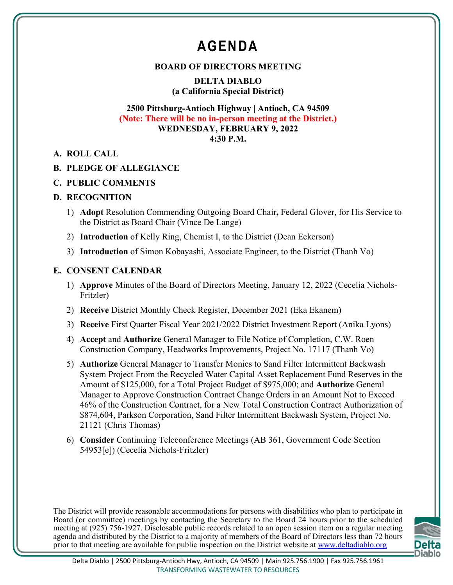# **AGENDA**

#### **BOARD OF DIRECTORS MEETING**

**DELTA DIABLO (a California Special District)**

#### **2500 Pittsburg-Antioch Highway | Antioch, CA 94509 (Note: There will be no in-person meeting at the District.) WEDNESDAY, FEBRUARY 9, 2022 4:30 P.M.**

**A. ROLL CALL**

### **B. PLEDGE OF ALLEGIANCE**

### **C. PUBLIC COMMENTS**

#### **D. RECOGNITION**

- 1) **Adopt** Resolution Commending Outgoing Board Chair**,** Federal Glover, for His Service to the District as Board Chair (Vince De Lange)
- 2) **Introduction** of Kelly Ring, Chemist I, to the District (Dean Eckerson)
- 3) **Introduction** of Simon Kobayashi, Associate Engineer, to the District (Thanh Vo)

### **E. CONSENT CALENDAR**

- 1) **Approve** Minutes of the Board of Directors Meeting, January 12, 2022 (Cecelia Nichols-Fritzler)
- 2) **Receive** District Monthly Check Register, December 2021 (Eka Ekanem)
- 3) **Receive** First Quarter Fiscal Year 2021/2022 District Investment Report (Anika Lyons)
- 4) **Accept** and **Authorize** General Manager to File Notice of Completion, C.W. Roen Construction Company, Headworks Improvements, Project No. 17117 (Thanh Vo)
- 5) **Authorize** General Manager to Transfer Monies to Sand Filter Intermittent Backwash System Project From the Recycled Water Capital Asset Replacement Fund Reserves in the Amount of \$125,000, for a Total Project Budget of \$975,000; and **Authorize** General Manager to Approve Construction Contract Change Orders in an Amount Not to Exceed 46% of the Construction Contract, for a New Total Construction Contract Authorization of \$874,604, Parkson Corporation, Sand Filter Intermittent Backwash System, Project No. 21121 (Chris Thomas)
- 6) **Consider** Continuing Teleconference Meetings (AB 361, Government Code Section 54953[e]) (Cecelia Nichols-Fritzler)

The District will provide reasonable accommodations for persons with disabilities who plan to participate in Board (or committee) meetings by contacting the Secretary to the Board 24 hours prior to the scheduled meeting at (925) 756-1927. Disclosable public records related to an open session item on a regular meeting agenda and distributed by the District to a majority of members of the Board of Directors less than 72 hours prior to that meeting are available for public inspection on the District website at www.deltadiablo.org

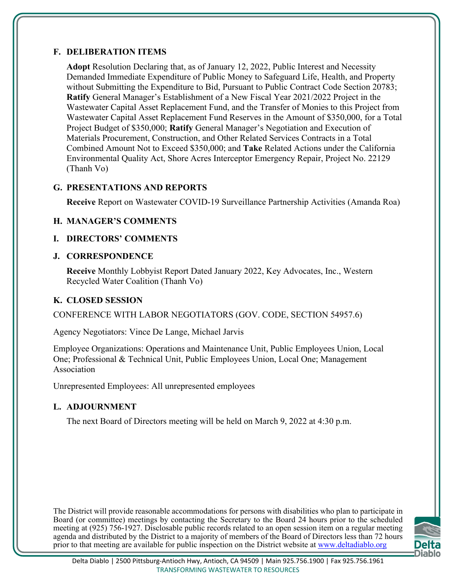### **F. DELIBERATION ITEMS**

**Adopt** Resolution Declaring that, as of January 12, 2022, Public Interest and Necessity Demanded Immediate Expenditure of Public Money to Safeguard Life, Health, and Property without Submitting the Expenditure to Bid, Pursuant to Public Contract Code Section 20783; **Ratify** General Manager's Establishment of a New Fiscal Year 2021/2022 Project in the Wastewater Capital Asset Replacement Fund, and the Transfer of Monies to this Project from Wastewater Capital Asset Replacement Fund Reserves in the Amount of \$350,000, for a Total Project Budget of \$350,000; **Ratify** General Manager's Negotiation and Execution of Materials Procurement, Construction, and Other Related Services Contracts in a Total Combined Amount Not to Exceed \$350,000; and **Take** Related Actions under the California Environmental Quality Act, Shore Acres Interceptor Emergency Repair, Project No. 22129 (Thanh Vo)

#### **G. PRESENTATIONS AND REPORTS**

**Receive** Report on Wastewater COVID-19 Surveillance Partnership Activities (Amanda Roa)

### **H. MANAGER'S COMMENTS**

#### **I. DIRECTORS' COMMENTS**

#### **J. CORRESPONDENCE**

**Receive** Monthly Lobbyist Report Dated January 2022, Key Advocates, Inc., Western Recycled Water Coalition (Thanh Vo)

### **K. CLOSED SESSION**

CONFERENCE WITH LABOR NEGOTIATORS (GOV. CODE, SECTION 54957.6)

Agency Negotiators: Vince De Lange, Michael Jarvis

Employee Organizations: Operations and Maintenance Unit, Public Employees Union, Local One; Professional & Technical Unit, Public Employees Union, Local One; Management Association

Unrepresented Employees: All unrepresented employees

### **L. ADJOURNMENT**

The next Board of Directors meeting will be held on March 9, 2022 at 4:30 p.m.

The District will provide reasonable accommodations for persons with disabilities who plan to participate in Board (or committee) meetings by contacting the Secretary to the Board 24 hours prior to the scheduled meeting at (925) 756-1927. Disclosable public records related to an open session item on a regular meeting agenda and distributed by the District to a majority of members of the Board of Directors less than 72 hours prior to that meeting are available for public inspection on the District website at www.deltadiablo.org

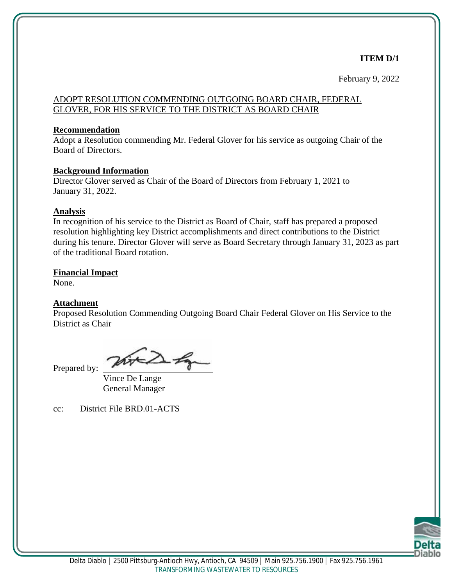#### **ITEM D/1**

February 9, 2022

#### ADOPT RESOLUTION COMMENDING OUTGOING BOARD CHAIR, FEDERAL GLOVER, FOR HIS SERVICE TO THE DISTRICT AS BOARD CHAIR

#### **Recommendation**

Adopt a Resolution commending Mr. Federal Glover for his service as outgoing Chair of the Board of Directors.

#### **Background Information**

Director Glover served as Chair of the Board of Directors from February 1, 2021 to January 31, 2022.

#### **Analysis**

In recognition of his service to the District as Board of Chair, staff has prepared a proposed resolution highlighting key District accomplishments and direct contributions to the District during his tenure. Director Glover will serve as Board Secretary through January 31, 2023 as part of the traditional Board rotation.

#### **Financial Impact**

None.

#### **Attachment**

Proposed Resolution Commending Outgoing Board Chair Federal Glover on His Service to the District as Chair

Prepared by:

Vince De Lange General Manager

cc: District File BRD.01-ACTS

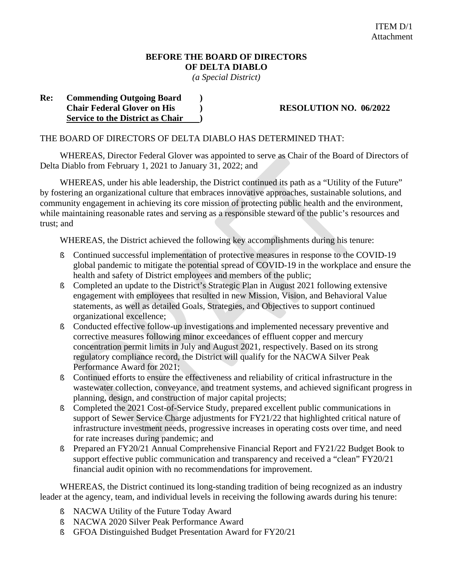### **BEFORE THE BOARD OF DIRECTORS OF DELTA DIABLO**

*(a Special District)*

#### **Re: Commending Outgoing Board ) Chair Federal Glover on His ) RESOLUTION NO. 06/2022 Service to the District as Chair )**

#### THE BOARD OF DIRECTORS OF DELTA DIABLO HAS DETERMINED THAT:

WHEREAS, Director Federal Glover was appointed to serve as Chair of the Board of Directors of Delta Diablo from February 1, 2021 to January 31, 2022; and

WHEREAS, under his able leadership, the District continued its path as a "Utility of the Future" by fostering an organizational culture that embraces innovative approaches, sustainable solutions, and community engagement in achieving its core mission of protecting public health and the environment, while maintaining reasonable rates and serving as a responsible steward of the public's resources and trust; and

WHEREAS, the District achieved the following key accomplishments during his tenure:

- **§** Continued successful implementation of protective measures in response to the COVID-19 global pandemic to mitigate the potential spread of COVID-19 in the workplace and ensure the health and safety of District employees and members of the public;
- § Completed an update to the District's Strategic Plan in August 2021 following extensive engagement with employees that resulted in new Mission, Vision, and Behavioral Value statements, as well as detailed Goals, Strategies, and Objectives to support continued organizational excellence;
- § Conducted effective follow-up investigations and implemented necessary preventive and corrective measures following minor exceedances of effluent copper and mercury concentration permit limits in July and August 2021, respectively. Based on its strong regulatory compliance record, the District will qualify for the NACWA Silver Peak Performance Award for 2021;
- § Continued efforts to ensure the effectiveness and reliability of critical infrastructure in the wastewater collection, conveyance, and treatment systems, and achieved significant progress in planning, design, and construction of major capital projects;
- **§** Completed the 2021 Cost-of-Service Study, prepared excellent public communications in support of Sewer Service Charge adjustments for FY21/22 that highlighted critical nature of infrastructure investment needs, progressive increases in operating costs over time, and need for rate increases during pandemic; and
- **§** Prepared an FY20/21 Annual Comprehensive Financial Report and FY21/22 Budget Book to support effective public communication and transparency and received a "clean" FY20/21 financial audit opinion with no recommendations for improvement.

WHEREAS, the District continued its long-standing tradition of being recognized as an industry leader at the agency, team, and individual levels in receiving the following awards during his tenure:

- § NACWA Utility of the Future Today Award
- **§** NACWA 2020 Silver Peak Performance Award
- **§** GFOA Distinguished Budget Presentation Award for FY20/21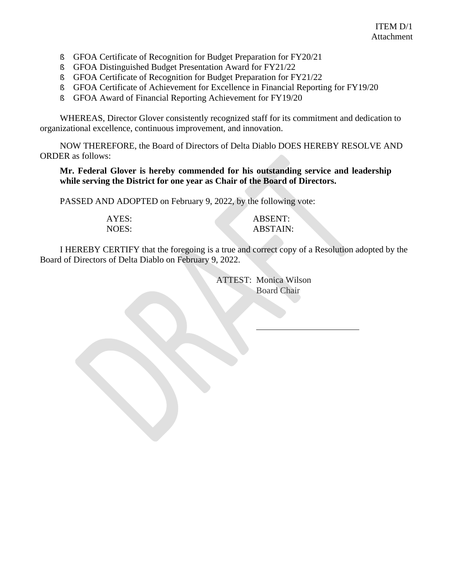- **§** GFOA Certificate of Recognition for Budget Preparation for FY20/21
- **§** GFOA Distinguished Budget Presentation Award for FY21/22
- § GFOA Certificate of Recognition for Budget Preparation for FY21/22
- § GFOA Certificate of Achievement for Excellence in Financial Reporting for FY19/20
- **§** GFOA Award of Financial Reporting Achievement for FY19/20

WHEREAS, Director Glover consistently recognized staff for its commitment and dedication to organizational excellence, continuous improvement, and innovation.

NOW THEREFORE, the Board of Directors of Delta Diablo DOES HEREBY RESOLVE AND ORDER as follows:

**Mr. Federal Glover is hereby commended for his outstanding service and leadership while serving the District for one year as Chair of the Board of Directors.** 

PASSED AND ADOPTED on February 9, 2022, by the following vote:

| AYES: | <b>ABSENT:</b>  |
|-------|-----------------|
| NOES: | <b>ABSTAIN:</b> |

I HEREBY CERTIFY that the foregoing is a true and correct copy of a Resolution adopted by the Board of Directors of Delta Diablo on February 9, 2022.

> ATTEST: Monica Wilson Board Chair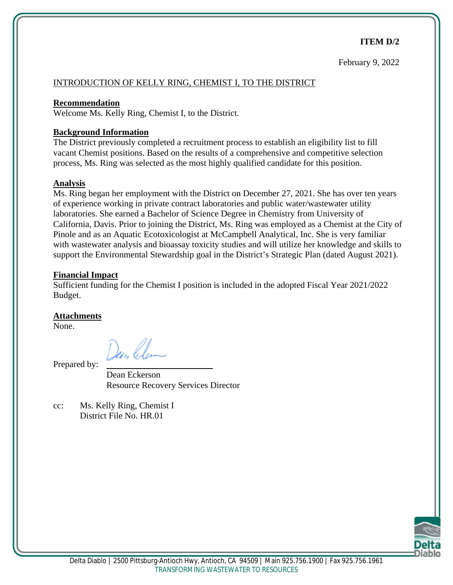#### **ITEM D/2**

#### INTRODUCTION OF KELLY RING, CHEMIST I, TO THE DISTRICT

#### **Recommendation**

Welcome Ms. Kelly Ring, Chemist I, to the District.

#### **Background Information**

The District previously completed a recruitment process to establish an eligibility list to fill vacant Chemist positions. Based on the results of a comprehensive and competitive selection process, Ms. Ring was selected as the most highly qualified candidate for this position.

#### **Analysis**

Ms. Ring began her employment with the District on December 27, 2021. She has over ten years of experience working in private contract laboratories and public water/wastewater utility laboratories. She earned a Bachelor of Science Degree in Chemistry from University of California, Davis. Prior to joining the District, Ms. Ring was employed as a Chemist at the City of Pinole and as an Aquatic Ecotoxicologist at McCampbell Analytical, Inc. She is very familiar with wastewater analysis and bioassay toxicity studies and will utilize her knowledge and skills to support the Environmental Stewardship goal in the District's Strategic Plan (dated August 2021).

#### **Financial Impact**

Sufficient funding for the Chemist I position is included in the adopted Fiscal Year 2021/2022 Budget.

#### **Attachments**

Prepared by:

None.

Dean Eckerson Resource Recovery Services Director

cc: Ms. Kelly Ring, Chemist I District File No. HR.01

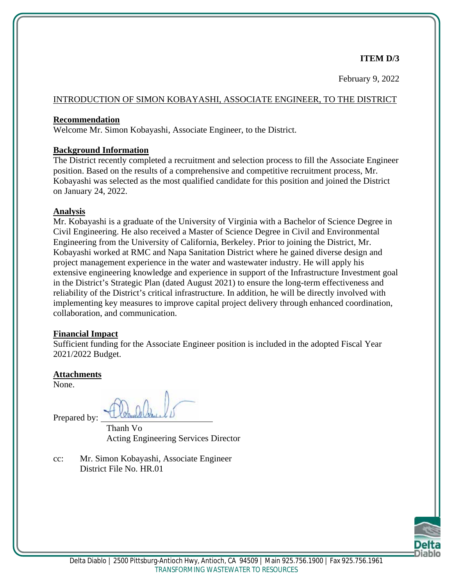#### **ITEM D/3**

February 9, 2022

#### INTRODUCTION OF SIMON KOBAYASHI, ASSOCIATE ENGINEER, TO THE DISTRICT

#### **Recommendation**

Welcome Mr. Simon Kobayashi, Associate Engineer, to the District.

#### **Background Information**

The District recently completed a recruitment and selection process to fill the Associate Engineer position. Based on the results of a comprehensive and competitive recruitment process, Mr. Kobayashi was selected as the most qualified candidate for this position and joined the District on January 24, 2022.

#### **Analysis**

Mr. Kobayashi is a graduate of the University of Virginia with a Bachelor of Science Degree in Civil Engineering. He also received a Master of Science Degree in Civil and Environmental Engineering from the University of California, Berkeley. Prior to joining the District, Mr. Kobayashi worked at RMC and Napa Sanitation District where he gained diverse design and project management experience in the water and wastewater industry. He will apply his extensive engineering knowledge and experience in support of the Infrastructure Investment goal in the District's Strategic Plan (dated August 2021) to ensure the long-term effectiveness and reliability of the District's critical infrastructure. In addition, he will be directly involved with implementing key measures to improve capital project delivery through enhanced coordination, collaboration, and communication.

#### **Financial Impact**

Sufficient funding for the Associate Engineer position is included in the adopted Fiscal Year 2021/2022 Budget.

#### **Attachments**

None.

Prepared by:

Thanh Vo Acting Engineering Services Director

cc: Mr. Simon Kobayashi, Associate Engineer District File No. HR.01

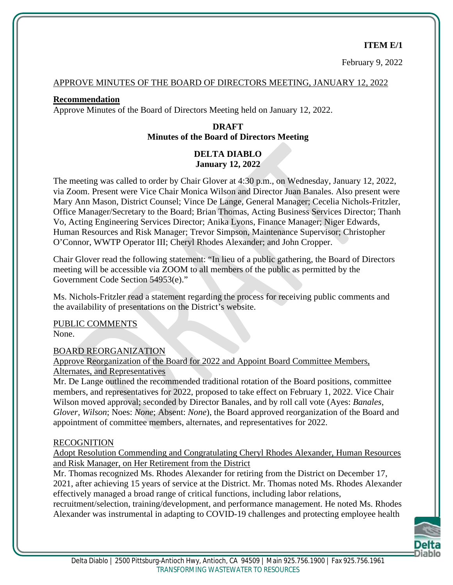#### **ITEM E/1**

February 9, 2022

#### APPROVE MINUTES OF THE BOARD OF DIRECTORS MEETING, JANUARY 12, 2022

#### **Recommendation**

Approve Minutes of the Board of Directors Meeting held on January 12, 2022.

### **DRAFT Minutes of the Board of Directors Meeting**

#### **DELTA DIABLO January 12, 2022**

The meeting was called to order by Chair Glover at 4:30 p.m., on Wednesday, January 12, 2022, via Zoom. Present were Vice Chair Monica Wilson and Director Juan Banales. Also present were Mary Ann Mason, District Counsel; Vince De Lange, General Manager; Cecelia Nichols-Fritzler, Office Manager/Secretary to the Board; Brian Thomas, Acting Business Services Director; Thanh Vo, Acting Engineering Services Director; Anika Lyons, Finance Manager; Niger Edwards, Human Resources and Risk Manager; Trevor Simpson, Maintenance Supervisor; Christopher O'Connor, WWTP Operator III; Cheryl Rhodes Alexander; and John Cropper.

Chair Glover read the following statement: "In lieu of a public gathering, the Board of Directors meeting will be accessible via ZOOM to all members of the public as permitted by the Government Code Section 54953(e)."

Ms. Nichols-Fritzler read a statement regarding the process for receiving public comments and the availability of presentations on the District's website.

PUBLIC COMMENTS None.

BOARD REORGANIZATION

Approve Reorganization of the Board for 2022 and Appoint Board Committee Members, Alternates, and Representatives

Mr. De Lange outlined the recommended traditional rotation of the Board positions, committee members, and representatives for 2022, proposed to take effect on February 1, 2022. Vice Chair Wilson moved approval; seconded by Director Banales, and by roll call vote (Ayes: *Banales, Glover, Wilson*; Noes: *None*; Absent: *None*), the Board approved reorganization of the Board and appointment of committee members, alternates, and representatives for 2022.

#### RECOGNITION

Adopt Resolution Commending and Congratulating Cheryl Rhodes Alexander, Human Resources and Risk Manager, on Her Retirement from the District

Mr. Thomas recognized Ms. Rhodes Alexander for retiring from the District on December 17, 2021, after achieving 15 years of service at the District. Mr. Thomas noted Ms. Rhodes Alexander effectively managed a broad range of critical functions, including labor relations,

recruitment/selection, training/development, and performance management. He noted Ms. Rhodes Alexander was instrumental in adapting to COVID-19 challenges and protecting employee health

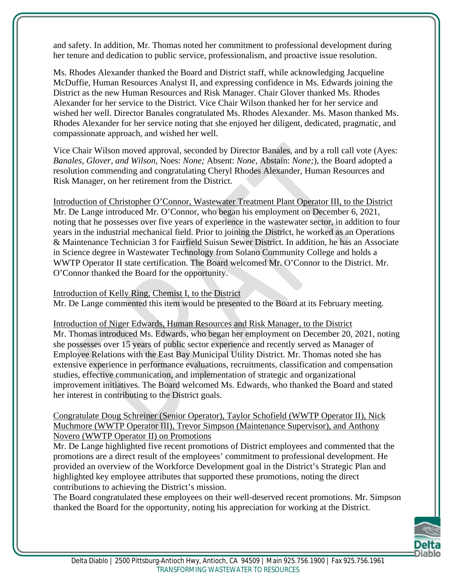and safety. In addition, Mr. Thomas noted her commitment to professional development during her tenure and dedication to public service, professionalism, and proactive issue resolution.

Ms. Rhodes Alexander thanked the Board and District staff, while acknowledging Jacqueline McDuffie, Human Resources Analyst II, and expressing confidence in Ms. Edwards joining the District as the new Human Resources and Risk Manager. Chair Glover thanked Ms. Rhodes Alexander for her service to the District. Vice Chair Wilson thanked her for her service and wished her well. Director Banales congratulated Ms. Rhodes Alexander. Ms. Mason thanked Ms. Rhodes Alexander for her service noting that she enjoyed her diligent, dedicated, pragmatic, and compassionate approach, and wished her well.

Vice Chair Wilson moved approval, seconded by Director Banales, and by a roll call vote (Ayes: *Banales, Glover, and Wilson*, Noes: *None;* Absent: *None,* Abstain: *None;*), the Board adopted a resolution commending and congratulating Cheryl Rhodes Alexander, Human Resources and Risk Manager, on her retirement from the District.

Introduction of Christopher O'Connor, Wastewater Treatment Plant Operator III, to the District Mr. De Lange introduced Mr. O'Connor, who began his employment on December 6, 2021, noting that he possesses over five years of experience in the wastewater sector, in addition to four years in the industrial mechanical field. Prior to joining the District, he worked as an Operations & Maintenance Technician 3 for Fairfield Suisun Sewer District. In addition, he has an Associate in Science degree in Wastewater Technology from Solano Community College and holds a WWTP Operator II state certification. The Board welcomed Mr. O'Connor to the District. Mr. O'Connor thanked the Board for the opportunity.

Introduction of Kelly Ring, Chemist I, to the District Mr. De Lange commented this item would be presented to the Board at its February meeting.

Introduction of Niger Edwards, Human Resources and Risk Manager, to the District Mr. Thomas introduced Ms. Edwards, who began her employment on December 20, 2021, noting she possesses over 15 years of public sector experience and recently served as Manager of Employee Relations with the East Bay Municipal Utility District. Mr. Thomas noted she has extensive experience in performance evaluations, recruitments, classification and compensation studies, effective communication, and implementation of strategic and organizational improvement initiatives. The Board welcomed Ms. Edwards, who thanked the Board and stated her interest in contributing to the District goals.

#### Congratulate Doug Schreiner (Senior Operator), Taylor Schofield (WWTP Operator II), Nick Muchmore (WWTP Operator III), Trevor Simpson (Maintenance Supervisor), and Anthony Novero (WWTP Operator II) on Promotions

Mr. De Lange highlighted five recent promotions of District employees and commented that the promotions are a direct result of the employees' commitment to professional development. He provided an overview of the Workforce Development goal in the District's Strategic Plan and highlighted key employee attributes that supported these promotions, noting the direct contributions to achieving the District's mission.

The Board congratulated these employees on their well-deserved recent promotions. Mr. Simpson thanked the Board for the opportunity, noting his appreciation for working at the District.

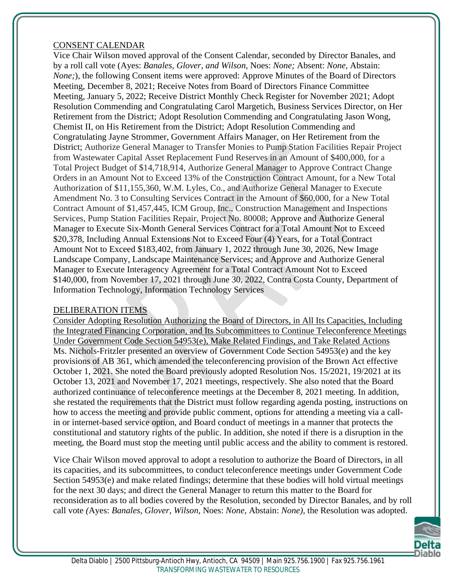#### CONSENT CALENDAR

Vice Chair Wilson moved approval of the Consent Calendar, seconded by Director Banales, and by a roll call vote (Ayes: *Banales, Glover, and Wilson*, Noes: *None;* Absent: *None,* Abstain: *None;*), the following Consent items were approved: Approve Minutes of the Board of Directors Meeting, December 8, 2021; Receive Notes from Board of Directors Finance Committee Meeting, January 5, 2022; Receive District Monthly Check Register for November 2021; Adopt Resolution Commending and Congratulating Carol Margetich, Business Services Director, on Her Retirement from the District; Adopt Resolution Commending and Congratulating Jason Wong, Chemist II, on His Retirement from the District; Adopt Resolution Commending and Congratulating Jayne Strommer, Government Affairs Manager, on Her Retirement from the District; Authorize General Manager to Transfer Monies to Pump Station Facilities Repair Project from Wastewater Capital Asset Replacement Fund Reserves in an Amount of \$400,000, for a Total Project Budget of \$14,718,914, Authorize General Manager to Approve Contract Change Orders in an Amount Not to Exceed 13% of the Construction Contract Amount, for a New Total Authorization of \$11,155,360, W.M. Lyles, Co., and Authorize General Manager to Execute Amendment No. 3 to Consulting Services Contract in the Amount of \$60,000, for a New Total Contract Amount of \$1,457,445, ICM Group, Inc., Construction Management and Inspections Services, Pump Station Facilities Repair, Project No. 80008; Approve and Authorize General Manager to Execute Six-Month General Services Contract for a Total Amount Not to Exceed \$20,378, Including Annual Extensions Not to Exceed Four (4) Years, for a Total Contract Amount Not to Exceed \$183,402, from January 1, 2022 through June 30, 2026, New Image Landscape Company, Landscape Maintenance Services; and Approve and Authorize General Manager to Execute Interagency Agreement for a Total Contract Amount Not to Exceed \$140,000, from November 17, 2021 through June 30, 2022, Contra Costa County, Department of Information Technology, Information Technology Services

#### DELIBERATION ITEMS

Consider Adopting Resolution Authorizing the Board of Directors, in All Its Capacities, Including the Integrated Financing Corporation, and Its Subcommittees to Continue Teleconference Meetings Under Government Code Section 54953(e), Make Related Findings, and Take Related Actions Ms. Nichols-Fritzler presented an overview of Government Code Section 54953(e) and the key provisions of AB 361, which amended the teleconferencing provision of the Brown Act effective October 1, 2021. She noted the Board previously adopted Resolution Nos. 15/2021, 19/2021 at its October 13, 2021 and November 17, 2021 meetings, respectively. She also noted that the Board authorized continuance of teleconference meetings at the December 8, 2021 meeting. In addition, she restated the requirements that the District must follow regarding agenda posting, instructions on how to access the meeting and provide public comment, options for attending a meeting via a callin or internet-based service option, and Board conduct of meetings in a manner that protects the constitutional and statutory rights of the public. In addition, she noted if there is a disruption in the meeting, the Board must stop the meeting until public access and the ability to comment is restored.

Vice Chair Wilson moved approval to adopt a resolution to authorize the Board of Directors, in all its capacities, and its subcommittees, to conduct teleconference meetings under Government Code Section 54953(e) and make related findings; determine that these bodies will hold virtual meetings for the next 30 days; and direct the General Manager to return this matter to the Board for reconsideration as to all bodies covered by the Resolution, seconded by Director Banales, and by roll call vote *(*Ayes: *Banales, Glover, Wilson,* Noes: *None,* Abstain: *None),* the Resolution was adopted.

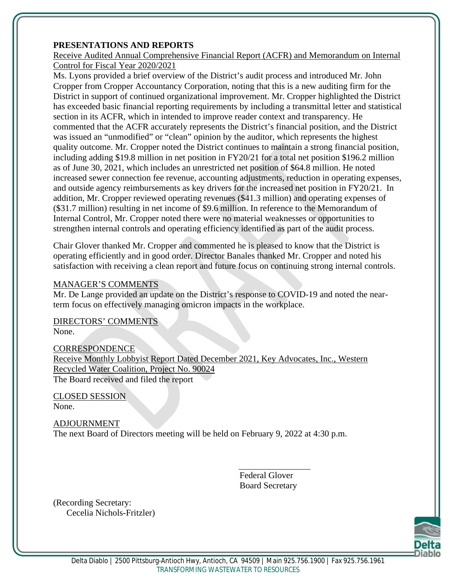#### **PRESENTATIONS AND REPORTS**

Receive Audited Annual Comprehensive Financial Report (ACFR) and Memorandum on Internal Control for Fiscal Year 2020/2021

Ms. Lyons provided a brief overview of the District's audit process and introduced Mr. John Cropper from Cropper Accountancy Corporation, noting that this is a new auditing firm for the District in support of continued organizational improvement. Mr. Cropper highlighted the District has exceeded basic financial reporting requirements by including a transmittal letter and statistical section in its ACFR, which in intended to improve reader context and transparency. He commented that the ACFR accurately represents the District's financial position, and the District was issued an "unmodified" or "clean" opinion by the auditor, which represents the highest quality outcome. Mr. Cropper noted the District continues to maintain a strong financial position, including adding \$19.8 million in net position in FY20/21 for a total net position \$196.2 million as of June 30, 2021, which includes an unrestricted net position of \$64.8 million. He noted increased sewer connection fee revenue, accounting adjustments, reduction in operating expenses, and outside agency reimbursements as key drivers for the increased net position in FY20/21. In addition, Mr. Cropper reviewed operating revenues (\$41.3 million) and operating expenses of (\$31.7 million) resulting in net income of \$9.6 million. In reference to the Memorandum of Internal Control, Mr. Cropper noted there were no material weaknesses or opportunities to strengthen internal controls and operating efficiency identified as part of the audit process.

Chair Glover thanked Mr. Cropper and commented he is pleased to know that the District is operating efficiently and in good order. Director Banales thanked Mr. Cropper and noted his satisfaction with receiving a clean report and future focus on continuing strong internal controls.

#### MANAGER'S COMMENTS

Mr. De Lange provided an update on the District's response to COVID-19 and noted the nearterm focus on effectively managing omicron impacts in the workplace.

DIRECTORS' COMMENTS None.

**CORRESPONDENCE** Receive Monthly Lobbyist Report Dated December 2021, Key Advocates, Inc., Western Recycled Water Coalition, Project No. 90024 The Board received and filed the report

CLOSED SESSION None.

ADJOURNMENT The next Board of Directors meeting will be held on February 9, 2022 at 4:30 p.m.

> Federal Glover Board Secretary

(Recording Secretary: Cecelia Nichols-Fritzler)

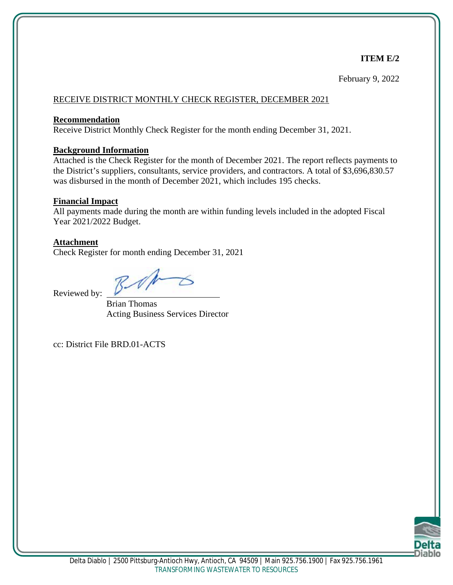#### **ITEM E/2**

February 9, 2022

#### RECEIVE DISTRICT MONTHLY CHECK REGISTER, DECEMBER 2021

#### **Recommendation**

Receive District Monthly Check Register for the month ending December 31, 2021.

#### **Background Information**

Attached is the Check Register for the month of December 2021. The report reflects payments to the District's suppliers, consultants, service providers, and contractors. A total of \$3,696,830.57 was disbursed in the month of December 2021, which includes 195 checks.

#### **Financial Impact**

All payments made during the month are within funding levels included in the adopted Fiscal Year 2021/2022 Budget.

#### **Attachment**

Check Register for month ending December 31, 2021

Reviewed by:

Brian Thomas Acting Business Services Director

cc: District File BRD.01-ACTS

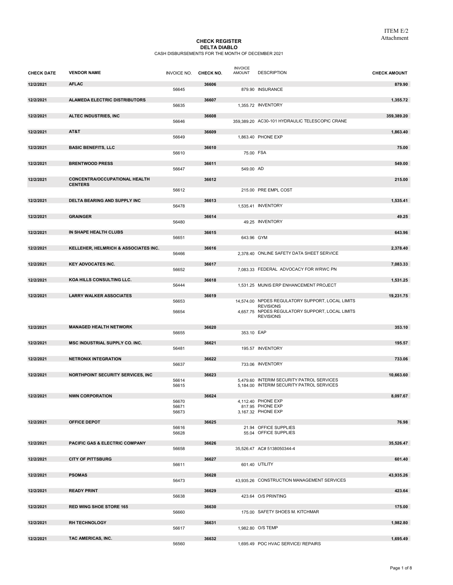#### CHECK REGISTER **DELTA DIABLO**<br>CASH DISBURSEMENTS FOR THE MONTH OF DECEMBER 2021

| <b>CHECK DATE</b> | <b>VENDOR NAME</b>                        | INVOICE NO. CHECK NO. |       | <b>INVOICE</b><br><b>AMOUNT</b> | <b>DESCRIPTION</b>                                                   | <b>CHECK AMOUNT</b> |
|-------------------|-------------------------------------------|-----------------------|-------|---------------------------------|----------------------------------------------------------------------|---------------------|
| 12/2/2021         | <b>AFLAC</b>                              | 56645                 | 36606 |                                 | 879.90 INSURANCE                                                     | 879.90              |
| 12/2/2021         | <b>ALAMEDA ELECTRIC DISTRIBUTORS</b>      |                       | 36607 |                                 |                                                                      | 1,355.72            |
|                   |                                           | 56635                 |       |                                 | 1.355.72 INVENTORY                                                   |                     |
| 12/2/2021         | ALTEC INDUSTRIES, INC                     | 56646                 | 36608 |                                 | 359,389.20 AC30-101 HYDRAULIC TELESCOPIC CRANE                       | 359,389.20          |
| 12/2/2021         | AT&T                                      | 56649                 | 36609 |                                 | 1,863.40 PHONE EXP                                                   | 1,863.40            |
| 12/2/2021         | <b>BASIC BENEFITS, LLC</b>                | 56610                 | 36610 | 75.00 FSA                       |                                                                      | 75.00               |
| 12/2/2021         | <b>BRENTWOOD PRESS</b>                    | 56647                 | 36611 | 549.00 AD                       |                                                                      | 549.00              |
| 12/2/2021         | <b>CONCENTRA/OCCUPATIONAL HEALTH</b>      |                       | 36612 |                                 |                                                                      | 215.00              |
|                   | <b>CENTERS</b>                            | 56612                 |       |                                 | 215.00 PRE EMPL COST                                                 |                     |
| 12/2/2021         | DELTA BEARING AND SUPPLY INC              |                       | 36613 |                                 |                                                                      | 1,535.41            |
|                   |                                           | 56478                 |       |                                 | 1,535.41 INVENTORY                                                   |                     |
| 12/2/2021         | <b>GRAINGER</b>                           | 56480                 | 36614 |                                 | 49.25 INVENTORY                                                      | 49.25               |
| 12/2/2021         | IN SHAPE HEALTH CLUBS                     |                       | 36615 |                                 |                                                                      | 643.96              |
|                   |                                           | 56651                 |       | 643.96 GYM                      |                                                                      |                     |
| 12/2/2021         | KELLEHER. HELMRICH & ASSOCIATES INC.      | 56466                 | 36616 |                                 | 2,378.40 ONLINE SAFETY DATA SHEET SERVICE                            | 2,378.40            |
| 12/2/2021         | <b>KEY ADVOCATES INC.</b>                 |                       | 36617 |                                 |                                                                      | 7,083.33            |
|                   |                                           | 56652                 |       |                                 | 7.083.33 FEDERAL ADVOCACY FOR WRWC PN                                |                     |
| 12/2/2021         | KOA HILLS CONSULTING LLC.                 | 56444                 | 36618 |                                 | 1,531.25 MUNIS ERP ENHANCEMENT PROJECT                               | 1,531.25            |
| 12/2/2021         | <b>LARRY WALKER ASSOCIATES</b>            |                       | 36619 |                                 |                                                                      | 19,231.75           |
|                   |                                           | 56653                 |       |                                 | 14,574.00 NPDES REGULATORY SUPPORT, LOCAL LIMITS<br><b>REVISIONS</b> |                     |
|                   |                                           | 56654                 |       |                                 | 4,657.75 NPDES REGULATORY SUPPORT, LOCAL LIMITS<br><b>REVISIONS</b>  |                     |
| 12/2/2021         | <b>MANAGED HEALTH NETWORK</b>             |                       | 36620 |                                 |                                                                      | 353.10              |
|                   |                                           | 56655                 |       | 353.10 EAP                      |                                                                      |                     |
| 12/2/2021         | MSC INDUSTRIAL SUPPLY CO. INC.            | 56481                 | 36621 |                                 | 195.57 INVENTORY                                                     | 195.57              |
| 12/2/2021         | <b>NETRONIX INTEGRATION</b>               |                       | 36622 |                                 |                                                                      | 733.06              |
|                   |                                           | 56637                 |       |                                 | 733.06 INVENTORY                                                     |                     |
| 12/2/2021         | <b>NORTHPOINT SECURITY SERVICES, INC.</b> | 56614                 | 36623 |                                 | 5,479.60 INTERIM SECURITY PATROL SERVICES                            | 10,663.60           |
|                   |                                           | 56615                 |       |                                 | 5,184.00 INTERIM SECURITY PATROL SERVICES                            |                     |
| 12/2/2021         | <b>NWN CORPORATION</b>                    | 56670                 | 36624 |                                 | 4.112.40 PHONE EXP                                                   | 8,097.67            |
|                   |                                           | 56671<br>56673        |       |                                 | 817.95 PHONE EXP<br>3,167.32 PHONE EXP                               |                     |
| 12/2/2021         | <b>OFFICE DEPOT</b>                       |                       | 36625 |                                 |                                                                      | 76.98               |
|                   |                                           | 56616<br>56628        |       |                                 | 21.94 OFFICE SUPPLIES<br>55.04 OFFICE SUPPLIES                       |                     |
| 12/2/2021         |                                           |                       |       |                                 |                                                                      |                     |
|                   | PACIFIC GAS & ELECTRIC COMPANY            | 56658                 | 36626 |                                 | 35,526.47 AC# 5138050344-4                                           | 35,526.47           |
| 12/2/2021         | <b>CITY OF PITTSBURG</b>                  |                       | 36627 |                                 |                                                                      | 601.40              |
|                   |                                           | 56611                 |       |                                 | 601.40 UTILITY                                                       |                     |
| 12/2/2021         | <b>PSOMAS</b>                             | 56473                 | 36628 |                                 | 43,935.26 CONSTRUCTION MANAGEMENT SERVICES                           | 43,935.26           |
| 12/2/2021         | <b>READY PRINT</b>                        |                       | 36629 |                                 |                                                                      | 423.64              |
|                   |                                           | 56638                 |       |                                 | 423.64 O/S PRINTING                                                  |                     |
| 12/2/2021         | <b>RED WING SHOE STORE 165</b>            | 56660                 | 36630 |                                 | 175.00 SAFETY SHOES M. KITCHMAR                                      | 175.00              |
| 12/2/2021         | <b>RH TECHNOLOGY</b>                      |                       | 36631 |                                 |                                                                      | 1,982.80            |
|                   |                                           | 56617                 |       |                                 | 1,982.80 O/S TEMP                                                    |                     |
| 12/2/2021         | TAC AMERICAS, INC.                        | 56560                 | 36632 |                                 | 1,695.49 POC HVAC SERVICE/ REPAIRS                                   | 1,695.49            |
|                   |                                           |                       |       |                                 |                                                                      |                     |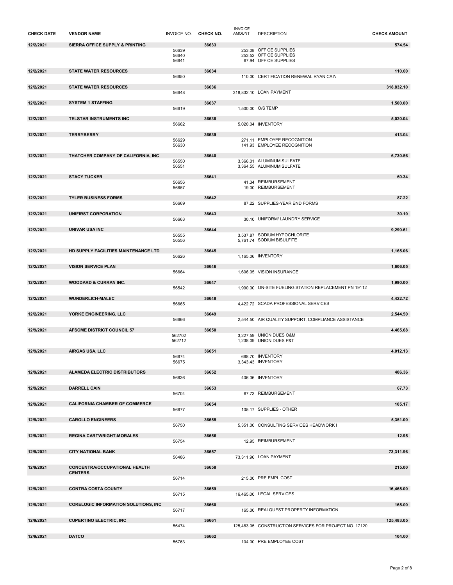| <b>CHECK DATE</b> | <b>VENDOR NAME</b>                                     | INVOICE NO. CHECK NO. |       | <b>INVOICE</b><br><b>AMOUNT</b> | <b>DESCRIPTION</b>                                     | <b>CHECK AMOUNT</b> |
|-------------------|--------------------------------------------------------|-----------------------|-------|---------------------------------|--------------------------------------------------------|---------------------|
| 12/2/2021         | SIERRA OFFICE SUPPLY & PRINTING                        |                       | 36633 |                                 |                                                        | 574.54              |
|                   |                                                        | 56639                 |       |                                 | 253.08 OFFICE SUPPLIES                                 |                     |
|                   |                                                        | 56640<br>56641        |       |                                 | 253.52 OFFICE SUPPLIES<br>67.94 OFFICE SUPPLIES        |                     |
|                   |                                                        |                       |       |                                 |                                                        |                     |
| 12/2/2021         | <b>STATE WATER RESOURCES</b>                           |                       | 36634 |                                 |                                                        | 110.00              |
|                   |                                                        | 56650                 |       |                                 | 110.00 CERTIFICATION RENEWAL RYAN CAIN                 |                     |
| 12/2/2021         | <b>STATE WATER RESOURCES</b>                           |                       | 36636 |                                 |                                                        | 318,832.10          |
|                   |                                                        | 56648                 |       |                                 | 318,832.10 LOAN PAYMENT                                |                     |
| 12/2/2021         | <b>SYSTEM 1 STAFFING</b>                               |                       | 36637 |                                 |                                                        | 1,500.00            |
|                   |                                                        | 56619                 |       |                                 | 1,500.00 O/S TEMP                                      |                     |
| 12/2/2021         | TELSTAR INSTRUMENTS INC                                |                       | 36638 |                                 |                                                        | 5,020.04            |
|                   |                                                        | 56662                 |       |                                 | 5,020.04 INVENTORY                                     |                     |
| 12/2/2021         | <b>TERRYBERRY</b>                                      |                       | 36639 |                                 |                                                        | 413.04              |
|                   |                                                        | 56629                 |       |                                 | 271.11 EMPLOYEE RECOGNITION                            |                     |
|                   |                                                        | 56630                 |       |                                 | 141.93 EMPLOYEE RECOGNITION                            |                     |
| 12/2/2021         | THATCHER COMPANY OF CALIFORNIA, INC                    |                       | 36640 |                                 |                                                        | 6,730.56            |
|                   |                                                        | 56550<br>56551        |       |                                 | 3,366.01 ALUMINUM SULFATE<br>3,364.55 ALUMINUM SULFATE |                     |
|                   |                                                        |                       |       |                                 |                                                        |                     |
| 12/2/2021         | <b>STACY TUCKER</b>                                    |                       | 36641 |                                 | 41.34 REIMBURSEMENT                                    | 60.34               |
|                   |                                                        | 56656<br>56657        |       |                                 | 19.00 REIMBURSEMENT                                    |                     |
|                   |                                                        |                       |       |                                 |                                                        |                     |
| 12/2/2021         | <b>TYLER BUSINESS FORMS</b>                            | 56669                 | 36642 |                                 | 87.22 SUPPLIES-YEAR END FORMS                          | 87.22               |
|                   |                                                        |                       |       |                                 |                                                        |                     |
| 12/2/2021         | UNIFIRST CORPORATION                                   | 56663                 | 36643 |                                 | 30.10 UNIFORM/ LAUNDRY SERVICE                         | 30.10               |
|                   |                                                        |                       |       |                                 |                                                        |                     |
| 12/2/2021         | <b>UNIVAR USA INC</b>                                  | 56555                 | 36644 |                                 | 3,537.87 SODIUM HYPOCHLORITE                           | 9,299.61            |
|                   |                                                        | 56556                 |       |                                 | 5,761.74 SODIUM BISULFITE                              |                     |
| 12/2/2021         | HD SUPPLY FACILITIES MAINTENANCE LTD                   |                       | 36645 |                                 |                                                        | 1,165.06            |
|                   |                                                        | 56626                 |       |                                 | 1,165.06 INVENTORY                                     |                     |
|                   |                                                        |                       |       |                                 |                                                        |                     |
| 12/2/2021         | <b>VISION SERVICE PLAN</b>                             | 56664                 | 36646 |                                 | 1,606.05 VISION INSURANCE                              | 1,606.05            |
|                   |                                                        |                       |       |                                 |                                                        |                     |
| 12/2/2021         | <b>WOODARD &amp; CURRAN INC.</b>                       | 56542                 | 36647 |                                 | 1,990.00 ON-SITE FUELING STATION REPLACEMENT PN 19112  | 1,990.00            |
|                   |                                                        |                       |       |                                 |                                                        |                     |
| 12/2/2021         | <b>WUNDERLICH-MALEC</b>                                | 56665                 | 36648 |                                 | 4.422.72 SCADA PROFESSIONAL SERVICES                   | 4,422.72            |
|                   |                                                        |                       |       |                                 |                                                        |                     |
| 12/2/2021         | YORKE ENGINEERING, LLC                                 | 56666                 | 36649 |                                 | 2,544.50 AIR QUALITY SUPPORT, COMPLIANCE ASSISTANCE    | 2,544.50            |
|                   |                                                        |                       |       |                                 |                                                        |                     |
| 12/9/2021         | AFSCME DISTRICT COUNCIL 57                             | 562702                | 36650 |                                 | 3,227.59 UNION DUES O&M                                | 4,465.68            |
|                   |                                                        | 562712                |       |                                 | 1,238.09 UNION DUES P&T                                |                     |
|                   | AIRGAS USA, LLC                                        |                       |       |                                 |                                                        |                     |
| 12/9/2021         |                                                        | 56674                 | 36651 |                                 | 668.70 INVENTORY                                       | 4,012.13            |
|                   |                                                        | 56675                 |       |                                 | 3,343.43 INVENTORY                                     |                     |
| 12/9/2021         | ALAMEDA ELECTRIC DISTRIBUTORS                          |                       | 36652 |                                 |                                                        | 406.36              |
|                   |                                                        | 56636                 |       |                                 | 406.36 INVENTORY                                       |                     |
| 12/9/2021         | <b>DARRELL CAIN</b>                                    |                       | 36653 |                                 |                                                        | 67.73               |
|                   |                                                        | 56704                 |       |                                 | 67.73 REIMBURSEMENT                                    |                     |
| 12/9/2021         | <b>CALIFORNIA CHAMBER OF COMMERCE</b>                  |                       | 36654 |                                 |                                                        | 105.17              |
|                   |                                                        | 56677                 |       |                                 | 105.17 SUPPLIES - OTHER                                |                     |
|                   |                                                        |                       |       |                                 |                                                        |                     |
| 12/9/2021         | <b>CAROLLO ENGINEERS</b>                               | 56750                 | 36655 |                                 | 5,351.00 CONSULTING SERVICES HEADWORK I                | 5,351.00            |
|                   |                                                        |                       |       |                                 |                                                        |                     |
| 12/9/2021         | <b>REGINA CARTWRIGHT-MORALES</b>                       | 56754                 | 36656 |                                 | 12.95 REIMBURSEMENT                                    | 12.95               |
|                   |                                                        |                       |       |                                 |                                                        |                     |
| 12/9/2021         | <b>CITY NATIONAL BANK</b>                              | 56486                 | 36657 |                                 | 73,311.96 LOAN PAYMENT                                 | 73,311.96           |
|                   |                                                        |                       |       |                                 |                                                        |                     |
| 12/9/2021         | <b>CONCENTRA/OCCUPATIONAL HEALTH</b><br><b>CENTERS</b> |                       | 36658 |                                 |                                                        | 215.00              |
|                   |                                                        | 56714                 |       |                                 | 215.00 PRE EMPL COST                                   |                     |
|                   |                                                        |                       |       |                                 |                                                        |                     |
| 12/9/2021         | <b>CONTRA COSTA COUNTY</b>                             | 56715                 | 36659 |                                 | 16,465.00 LEGAL SERVICES                               | 16,465.00           |
|                   |                                                        |                       |       |                                 |                                                        |                     |
| 12/9/2021         | <b>CORELOGIC INFORMATION SOLUTIONS, INC.</b>           | 56717                 | 36660 |                                 | 165.00 REALQUEST PROPERTY INFORMATION                  | 165.00              |
|                   |                                                        |                       |       |                                 |                                                        |                     |
| 12/9/2021         | <b>CUPERTINO ELECTRIC, INC</b>                         | 56474                 | 36661 |                                 | 125,483.05 CONSTRUCTION SERVICES FOR PROJECT NO. 17120 | 125,483.05          |
|                   |                                                        |                       |       |                                 |                                                        |                     |
| 12/9/2021         | <b>DATCO</b>                                           | 56763                 | 36662 |                                 | 104.00 PRE EMPLOYEE COST                               | 104.00              |
|                   |                                                        |                       |       |                                 |                                                        |                     |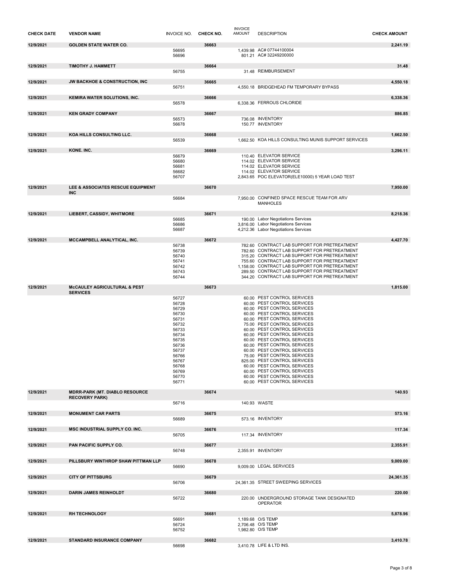| <b>CHECK DATE</b> | <b>VENDOR NAME</b>                                             | <b>INVOICE NO.</b>                                                                                                                                    | CHECK NO. | <b>INVOICE</b><br><b>AMOUNT</b> | <b>DESCRIPTION</b>                                                                                                                                                                                                                                                                                                                                                                                                                                                                                                                           | <b>CHECK AMOUNT</b> |
|-------------------|----------------------------------------------------------------|-------------------------------------------------------------------------------------------------------------------------------------------------------|-----------|---------------------------------|----------------------------------------------------------------------------------------------------------------------------------------------------------------------------------------------------------------------------------------------------------------------------------------------------------------------------------------------------------------------------------------------------------------------------------------------------------------------------------------------------------------------------------------------|---------------------|
| 12/9/2021         | <b>GOLDEN STATE WATER CO.</b>                                  | 56695<br>56696                                                                                                                                        | 36663     |                                 | 1,439.98 AC# 07744100004<br>801.21 AC# 32249200000                                                                                                                                                                                                                                                                                                                                                                                                                                                                                           | 2,241.19            |
| 12/9/2021         | TIMOTHY J. HAMMETT                                             | 56755                                                                                                                                                 | 36664     |                                 | 31.48 REIMBURSEMENT                                                                                                                                                                                                                                                                                                                                                                                                                                                                                                                          | 31.48               |
| 12/9/2021         | <b>JW BACKHOE &amp; CONSTRUCTION, INC</b>                      |                                                                                                                                                       | 36665     |                                 |                                                                                                                                                                                                                                                                                                                                                                                                                                                                                                                                              | 4,550.18            |
|                   |                                                                | 56751                                                                                                                                                 |           |                                 | 4,550.18 BRIDGEHEAD FM TEMPORARY BYPASS                                                                                                                                                                                                                                                                                                                                                                                                                                                                                                      |                     |
| 12/9/2021         | KEMIRA WATER SOLUTIONS, INC.                                   | 56578                                                                                                                                                 | 36666     |                                 | 6,338.36 FERROUS CHLORIDE                                                                                                                                                                                                                                                                                                                                                                                                                                                                                                                    | 6,338.36            |
| 12/9/2021         | <b>KEN GRADY COMPANY</b>                                       | 56573                                                                                                                                                 | 36667     |                                 | 736.08 INVENTORY                                                                                                                                                                                                                                                                                                                                                                                                                                                                                                                             | 886.85              |
|                   |                                                                | 56678                                                                                                                                                 |           |                                 | 150.77 INVENTORY                                                                                                                                                                                                                                                                                                                                                                                                                                                                                                                             |                     |
| 12/9/2021         | KOA HILLS CONSULTING LLC.                                      | 56539                                                                                                                                                 | 36668     |                                 | 1,662.50 KOA HILLS CONSULTING MUNIS SUPPORT SERVICES                                                                                                                                                                                                                                                                                                                                                                                                                                                                                         | 1,662.50            |
| 12/9/2021         | KONE. INC.                                                     |                                                                                                                                                       | 36669     |                                 |                                                                                                                                                                                                                                                                                                                                                                                                                                                                                                                                              | 3,296.11            |
|                   |                                                                | 56679<br>56680<br>56681<br>56682<br>56707                                                                                                             |           |                                 | 110.40 ELEVATOR SERVICE<br>114.02 ELEVATOR SERVICE<br>114.02 ELEVATOR SERVICE<br>114.02 ELEVATOR SERVICE<br>2,843.65 POC ELEVATOR(ELE10000) 5 YEAR LOAD TEST                                                                                                                                                                                                                                                                                                                                                                                 |                     |
| 12/9/2021         | LEE & ASSOCIATES RESCUE EQUIPMENT<br><b>INC</b>                |                                                                                                                                                       | 36670     |                                 |                                                                                                                                                                                                                                                                                                                                                                                                                                                                                                                                              | 7.950.00            |
|                   |                                                                | 56684                                                                                                                                                 |           |                                 | 7.950.00 CONFINED SPACE RESCUE TEAM FOR ARV<br><b>MANHOLES</b>                                                                                                                                                                                                                                                                                                                                                                                                                                                                               |                     |
| 12/9/2021         | <b>LIEBERT, CASSIDY, WHITMORE</b>                              | 56685                                                                                                                                                 | 36671     |                                 | 190.00 Labor Negotiations Services                                                                                                                                                                                                                                                                                                                                                                                                                                                                                                           | 8.218.36            |
|                   |                                                                | 56686<br>56687                                                                                                                                        |           |                                 | 3,816.00 Labor Negotiations Services<br>4,212.36 Labor Negotiations Services                                                                                                                                                                                                                                                                                                                                                                                                                                                                 |                     |
| 12/9/2021         | MCCAMPBELL ANALYTICAL, INC.                                    | 56738                                                                                                                                                 | 36672     |                                 | 782.60 CONTRACT LAB SUPPORT FOR PRETREATMENT                                                                                                                                                                                                                                                                                                                                                                                                                                                                                                 | 4,427.70            |
|                   |                                                                | 56739<br>56740<br>56741<br>56742<br>56743<br>56744                                                                                                    |           |                                 | 782.60 CONTRACT LAB SUPPORT FOR PRETREATMENT<br>315.20 CONTRACT LAB SUPPORT FOR PRETREATMENT<br>755.60 CONTRACT LAB SUPPORT FOR PRETREATMENT<br>1,158.00 CONTRACT LAB SUPPORT FOR PRETREATMENT<br>289.50 CONTRACT LAB SUPPORT FOR PRETREATMENT<br>344.20 CONTRACT LAB SUPPORT FOR PRETREATMENT                                                                                                                                                                                                                                               |                     |
| 12/9/2021         | McCAULEY AGRICULTURAL & PEST<br><b>SERVICES</b>                |                                                                                                                                                       | 36673     |                                 |                                                                                                                                                                                                                                                                                                                                                                                                                                                                                                                                              | 1,815.00            |
|                   |                                                                | 56727<br>56728<br>56729<br>56730<br>56731<br>56732<br>56733<br>56734<br>56735<br>56736<br>56737<br>56766<br>56767<br>56768<br>56769<br>56770<br>56771 |           |                                 | 60.00 PEST CONTROL SERVICES<br>60.00 PEST CONTROL SERVICES<br>60.00 PEST CONTROL SERVICES<br>60.00 PEST CONTROL SERVICES<br>60.00 PEST CONTROL SERVICES<br>75.00 PEST CONTROL SERVICES<br>60.00 PEST CONTROL SERVICES<br>60.00 PEST CONTROL SERVICES<br>60.00 PEST CONTROL SERVICES<br>60.00 PEST CONTROL SERVICES<br>60.00 PEST CONTROL SERVICES<br>75.00 PEST CONTROL SERVICES<br>825.00 PEST CONTROL SERVICES<br>60.00 PEST CONTROL SERVICES<br>60.00 PEST CONTROL SERVICES<br>60.00 PEST CONTROL SERVICES<br>60.00 PEST CONTROL SERVICES |                     |
| 12/9/2021         | <b>MDRR-PARK (MT. DIABLO RESOURCE</b><br><b>RECOVERY PARK)</b> |                                                                                                                                                       | 36674     |                                 |                                                                                                                                                                                                                                                                                                                                                                                                                                                                                                                                              | 140.93              |
|                   |                                                                | 56716                                                                                                                                                 |           |                                 | 140.93 WASTE                                                                                                                                                                                                                                                                                                                                                                                                                                                                                                                                 |                     |
| 12/9/2021         | <b>MONUMENT CAR PARTS</b>                                      | 56689                                                                                                                                                 | 36675     |                                 | 573.16 INVENTORY                                                                                                                                                                                                                                                                                                                                                                                                                                                                                                                             | 573.16              |
| 12/9/2021         | MSC INDUSTRIAL SUPPLY CO. INC.                                 | 56705                                                                                                                                                 | 36676     |                                 | 117.34 INVENTORY                                                                                                                                                                                                                                                                                                                                                                                                                                                                                                                             | 117.34              |
| 12/9/2021         | PAN PACIFIC SUPPLY CO.                                         |                                                                                                                                                       | 36677     |                                 |                                                                                                                                                                                                                                                                                                                                                                                                                                                                                                                                              | 2,355.91            |
|                   |                                                                | 56748                                                                                                                                                 |           |                                 | 2,355.91 INVENTORY                                                                                                                                                                                                                                                                                                                                                                                                                                                                                                                           |                     |
| 12/9/2021         | PILLSBURY WINTHROP SHAW PITTMAN LLP                            | 56690                                                                                                                                                 | 36678     |                                 | 9,009.00 LEGAL SERVICES                                                                                                                                                                                                                                                                                                                                                                                                                                                                                                                      | 9,009.00            |
| 12/9/2021         | <b>CITY OF PITTSBURG</b>                                       | 56706                                                                                                                                                 | 36679     |                                 | 24,361.35 STREET SWEEPING SERVICES                                                                                                                                                                                                                                                                                                                                                                                                                                                                                                           | 24,361.35           |
| 12/9/2021         | <b>DARIN JAMES REINHOLDT</b>                                   | 56722                                                                                                                                                 | 36680     |                                 | 220.00 UNDERGROUND STORAGE TANK DESIGNATED<br><b>OPERATOR</b>                                                                                                                                                                                                                                                                                                                                                                                                                                                                                | 220.00              |
| 12/9/2021         | <b>RH TECHNOLOGY</b>                                           |                                                                                                                                                       | 36681     |                                 |                                                                                                                                                                                                                                                                                                                                                                                                                                                                                                                                              | 5,878.96            |
|                   |                                                                | 56691<br>56724<br>56752                                                                                                                               |           |                                 | 1,189.68 O/S TEMP<br>2,706.48 O/S TEMP<br>1,982.80 O/S TEMP                                                                                                                                                                                                                                                                                                                                                                                                                                                                                  |                     |
| 12/9/2021         | STANDARD INSURANCE COMPANY                                     | 56698                                                                                                                                                 | 36682     |                                 | 3,410.78 LIFE & LTD INS.                                                                                                                                                                                                                                                                                                                                                                                                                                                                                                                     | 3,410.78            |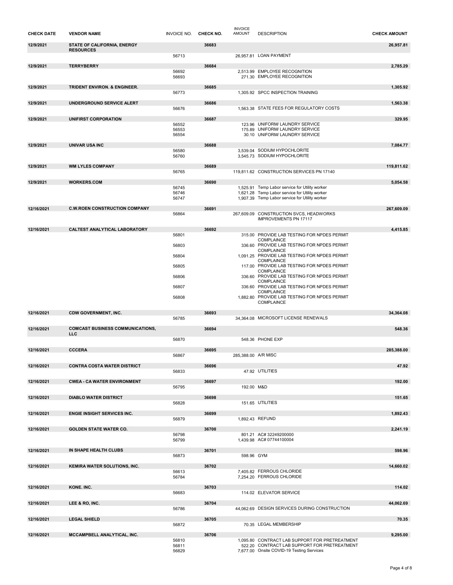| <b>CHECK DATE</b> | <b>VENDOR NAME</b>                              | <b>INVOICE NO.</b>      | CHECK NO. | <b>INVOICE</b><br><b>AMOUNT</b> | <b>DESCRIPTION</b>                                                                                                                          | <b>CHECK AMOUNT</b> |
|-------------------|-------------------------------------------------|-------------------------|-----------|---------------------------------|---------------------------------------------------------------------------------------------------------------------------------------------|---------------------|
| 12/9/2021         | STATE OF CALIFORNIA, ENERGY<br><b>RESOURCES</b> |                         | 36683     |                                 |                                                                                                                                             | 26,957.81           |
|                   |                                                 | 56713                   |           |                                 | 26,957.81 LOAN PAYMENT                                                                                                                      |                     |
| 12/9/2021         | <b>TERRYBERRY</b>                               |                         | 36684     |                                 |                                                                                                                                             | 2,785.29            |
|                   |                                                 | 56692<br>56693          |           |                                 | 2,513.99 EMPLOYEE RECOGNITION<br>271.30 EMPLOYEE RECOGNITION                                                                                |                     |
| 12/9/2021         | TRIDENT ENVIRON. & ENGINEER.                    |                         | 36685     |                                 |                                                                                                                                             | 1,305.92            |
|                   |                                                 | 56773                   |           |                                 | 1,305.92 SPCC INSPECTION TRAINING                                                                                                           |                     |
| 12/9/2021         | UNDERGROUND SERVICE ALERT                       |                         | 36686     |                                 |                                                                                                                                             | 1,563.38            |
|                   |                                                 | 56676                   |           |                                 | 1.563.38 STATE FEES FOR REGULATORY COSTS                                                                                                    |                     |
| 12/9/2021         | UNIFIRST CORPORATION                            |                         | 36687     |                                 |                                                                                                                                             | 329.95              |
|                   |                                                 | 56552<br>56553<br>56554 |           |                                 | 123.96 UNIFORM/ LAUNDRY SERVICE<br>175.89 UNIFORM/ LAUNDRY SERVICE<br>30.10 UNIFORM/ LAUNDRY SERVICE                                        |                     |
| 12/9/2021         | UNIVAR USA INC                                  |                         | 36688     |                                 |                                                                                                                                             | 7,084.77            |
|                   |                                                 | 56580<br>56760          |           |                                 | 3,539.04 SODIUM HYPOCHLORITE<br>3,545.73 SODIUM HYPOCHLORITE                                                                                |                     |
| 12/9/2021         | <b>WM LYLES COMPANY</b>                         |                         | 36689     |                                 |                                                                                                                                             | 119,811.62          |
|                   |                                                 | 56765                   |           |                                 | 119,811.62 CONSTRUCTION SERVICES PN 17140                                                                                                   |                     |
| 12/9/2021         | <b>WORKERS.COM</b>                              |                         | 36690     |                                 |                                                                                                                                             | 5,054.58            |
|                   |                                                 | 56745<br>56746          |           |                                 | 1,525.91 Temp Labor service for Utility worker<br>1.621.28 Temp Labor service for Utility worker                                            |                     |
|                   |                                                 | 56747                   |           |                                 | 1,907.39 Temp Labor service for Utility worker                                                                                              |                     |
| 12/16/2021        | <b>C.W.ROEN CONSTRUCTION COMPANY</b>            |                         | 36691     |                                 |                                                                                                                                             | 267,609.09          |
|                   |                                                 | 56864                   |           |                                 | 267,609.09 CONSTRUCTION SVCS, HEADWORKS<br><b>IMPROVEMENTS PN 17117</b>                                                                     |                     |
| 12/16/2021        | CALTEST ANALYTICAL LABORATORY                   |                         | 36692     |                                 |                                                                                                                                             | 4,415.85            |
|                   |                                                 | 56801                   |           |                                 | 315.00 PROVIDE LAB TESTING FOR NPDES PERMIT                                                                                                 |                     |
|                   |                                                 | 56803                   |           |                                 | COMPLAINCE<br>336.60 PROVIDE LAB TESTING FOR NPDES PERMIT                                                                                   |                     |
|                   |                                                 |                         |           |                                 | COMPLAINCE                                                                                                                                  |                     |
|                   |                                                 | 56804                   |           |                                 | 1,091.25 PROVIDE LAB TESTING FOR NPDES PERMIT<br>COMPLAINCE                                                                                 |                     |
|                   |                                                 | 56805                   |           |                                 | 117.00 PROVIDE LAB TESTING FOR NPDES PERMIT<br>COMPLAINCE                                                                                   |                     |
|                   |                                                 | 56806                   |           |                                 | 336.60 PROVIDE LAB TESTING FOR NPDES PERMIT                                                                                                 |                     |
|                   |                                                 | 56807                   |           |                                 | COMPLAINCE<br>336.60 PROVIDE LAB TESTING FOR NPDES PERMIT                                                                                   |                     |
|                   |                                                 |                         |           |                                 | COMPLAINCE                                                                                                                                  |                     |
|                   |                                                 | 56808                   |           |                                 | 1,882.80 PROVIDE LAB TESTING FOR NPDES PERMIT<br>COMPLAINCE                                                                                 |                     |
| 12/16/2021        | <b>CDW GOVERNMENT, INC.</b>                     |                         | 36693     |                                 |                                                                                                                                             | 34,364.08           |
|                   |                                                 | 56785                   |           |                                 | 34,364.08 MICROSOFT LICENSE RENEWALS                                                                                                        |                     |
| 12/16/2021        | <b>COMCAST BUSINESS COMMUNICATIONS,</b>         |                         | 36694     |                                 |                                                                                                                                             | 548.36              |
|                   | <b>LLC</b>                                      |                         |           |                                 | 548.36 PHONE EXP                                                                                                                            |                     |
|                   |                                                 | 56870                   |           |                                 |                                                                                                                                             |                     |
| 12/16/2021        | <b>CCCERA</b>                                   | 56867                   | 36695     | 285.388.00 A/R MISC             |                                                                                                                                             | 285,388.00          |
|                   |                                                 |                         |           |                                 |                                                                                                                                             |                     |
| 12/16/2021        | <b>CONTRA COSTA WATER DISTRICT</b>              | 56833                   | 36696     |                                 | 47.92 UTILITIES                                                                                                                             | 47.92               |
|                   |                                                 |                         |           |                                 |                                                                                                                                             |                     |
| 12/16/2021        | <b>CWEA - CA WATER ENVIRONMENT</b>              | 56795                   | 36697     | 192.00 M&D                      |                                                                                                                                             | 192.00              |
| 12/16/2021        | <b>DIABLO WATER DISTRICT</b>                    |                         | 36698     |                                 |                                                                                                                                             | 151.65              |
|                   |                                                 | 56828                   |           |                                 | 151.65 UTILITIES                                                                                                                            |                     |
| 12/16/2021        | <b>ENGIE INSIGHT SERVICES INC.</b>              |                         | 36699     |                                 |                                                                                                                                             | 1,892.43            |
|                   |                                                 | 56879                   |           |                                 | 1,892.43 REFUND                                                                                                                             |                     |
| 12/16/2021        | <b>GOLDEN STATE WATER CO.</b>                   |                         | 36700     |                                 |                                                                                                                                             | 2,241.19            |
|                   |                                                 | 56798<br>56799          |           |                                 | 801.21 AC# 32249200000<br>1,439.98 AC# 07744100004                                                                                          |                     |
|                   |                                                 |                         |           |                                 |                                                                                                                                             |                     |
| 12/16/2021        | IN SHAPE HEALTH CLUBS                           | 56873                   | 36701     | 598.96 GYM                      |                                                                                                                                             | 598.96              |
|                   |                                                 |                         |           |                                 |                                                                                                                                             |                     |
| 12/16/2021        | KEMIRA WATER SOLUTIONS, INC.                    | 56613                   | 36702     |                                 | 7,405.82 FERROUS CHLORIDE                                                                                                                   | 14,660.02           |
|                   |                                                 | 56784                   |           |                                 | 7,254.20 FERROUS CHLORIDE                                                                                                                   |                     |
| 12/16/2021        | KONE. INC.                                      |                         | 36703     |                                 |                                                                                                                                             | 114.02              |
|                   |                                                 | 56683                   |           |                                 | 114.02 ELEVATOR SERVICE                                                                                                                     |                     |
| 12/16/2021        | LEE & RO, INC.                                  |                         | 36704     |                                 |                                                                                                                                             | 44,062.69           |
|                   |                                                 | 56786                   |           |                                 | 44,062.69 DESIGN SERVICES DURING CONSTRUCTION                                                                                               |                     |
|                   |                                                 |                         |           |                                 |                                                                                                                                             | 70.35               |
| 12/16/2021        | <b>LEGAL SHIELD</b>                             |                         | 36705     |                                 |                                                                                                                                             |                     |
|                   |                                                 | 56872                   |           |                                 | 70.35 LEGAL MEMBERSHIP                                                                                                                      |                     |
| 12/16/2021        | MCCAMPBELL ANALYTICAL, INC.                     |                         | 36706     |                                 |                                                                                                                                             | 9,295.00            |
|                   |                                                 | 56810<br>56811<br>56829 |           |                                 | 1,095.80 CONTRACT LAB SUPPORT FOR PRETREATMENT<br>522.20 CONTRACT LAB SUPPORT FOR PRETREATMENT<br>7,677.00 Onsite COVID-19 Testing Services |                     |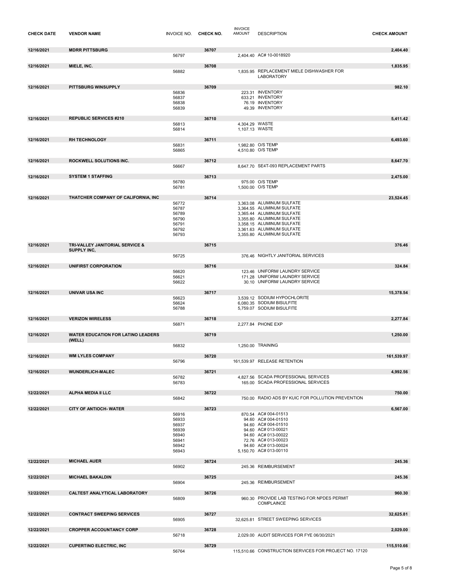| <b>CHECK DATE</b> | <b>VENDOR NAME</b>                                  | INVOICE NO. CHECK NO.   |       | <b>INVOICE</b><br><b>AMOUNT</b>  | <b>DESCRIPTION</b>                                                                     | <b>CHECK AMOUNT</b> |
|-------------------|-----------------------------------------------------|-------------------------|-------|----------------------------------|----------------------------------------------------------------------------------------|---------------------|
| 12/16/2021        | <b>MDRR PITTSBURG</b>                               | 56797                   | 36707 |                                  | 2,404.40 AC# 10-0018920                                                                | 2,404.40            |
|                   |                                                     |                         |       |                                  |                                                                                        |                     |
| 12/16/2021        | MIELE, INC.                                         | 56882                   | 36708 |                                  | 1.835.95 REPLACEMENT MIELE DISHWASHER FOR<br><b>LABORATORY</b>                         | 1,835.95            |
| 12/16/2021        | PITTSBURG WINSUPPLY                                 |                         | 36709 |                                  |                                                                                        | 982.10              |
|                   |                                                     | 56836<br>56837          |       |                                  | 223.31 INVENTORY<br>633.21 INVENTORY                                                   |                     |
|                   |                                                     | 56838<br>56839          |       |                                  | 76.19 INVENTORY<br>49.39 INVENTORY                                                     |                     |
| 12/16/2021        | <b>REPUBLIC SERVICES #210</b>                       |                         | 36710 |                                  |                                                                                        | 5,411.42            |
|                   |                                                     | 56813<br>56814          |       | 4,304.29 WASTE<br>1,107.13 WASTE |                                                                                        |                     |
| 12/16/2021        | <b>RH TECHNOLOGY</b>                                |                         | 36711 |                                  |                                                                                        | 6,493.60            |
|                   |                                                     | 56831<br>56865          |       |                                  | 1,982.80 O/S TEMP<br>4,510.80 O/S TEMP                                                 |                     |
| 12/16/2021        | ROCKWELL SOLUTIONS INC.                             |                         | 36712 |                                  |                                                                                        | 8,647.70            |
|                   |                                                     | 56667                   |       |                                  | 8,647.70 SE4T-093 REPLACEMENT PARTS                                                    |                     |
| 12/16/2021        | <b>SYSTEM 1 STAFFING</b>                            |                         | 36713 |                                  |                                                                                        | 2,475.00            |
|                   |                                                     | 56780                   |       |                                  | 975.00 O/S TEMP                                                                        |                     |
|                   |                                                     | 56781                   |       |                                  | 1,500.00 O/S TEMP                                                                      |                     |
| 12/16/2021        | THATCHER COMPANY OF CALIFORNIA, INC                 |                         | 36714 |                                  |                                                                                        | 23,524.45           |
|                   |                                                     | 56772                   |       |                                  | 3.363.08 ALUMINUM SULFATE<br>3,364.55 ALUMINUM SULFATE                                 |                     |
|                   |                                                     | 56787<br>56789          |       |                                  | 3.365.44 ALUMINUM SULFATE                                                              |                     |
|                   |                                                     | 56790                   |       |                                  | 3,355.80 ALUMINUM SULFATE                                                              |                     |
|                   |                                                     | 56791<br>56792          |       |                                  | 3,358.15 ALUMINUM SULFATE<br>3,361.63 ALUMINUM SULFATE                                 |                     |
|                   |                                                     | 56793                   |       |                                  | 3,355.80 ALUMINUM SULFATE                                                              |                     |
|                   | TRI-VALLEY JANITORIAL SERVICE &                     |                         | 36715 |                                  |                                                                                        | 376.46              |
| 12/16/2021        | SUPPLY INC,                                         |                         |       |                                  |                                                                                        |                     |
|                   |                                                     | 56725                   |       |                                  | 376.46 NIGHTLY JANITORIAL SERVICES                                                     |                     |
| 12/16/2021        | UNIFIRST CORPORATION                                |                         | 36716 |                                  |                                                                                        | 324.84              |
|                   |                                                     | 56620                   |       |                                  | 123.46 UNIFORM/ LAUNDRY SERVICE                                                        |                     |
|                   |                                                     | 56621<br>56622          |       |                                  | 171.28 UNIFORM/ LAUNDRY SERVICE<br>30.10 UNIFORM/ LAUNDRY SERVICE                      |                     |
| 12/16/2021        | <b>UNIVAR USA INC</b>                               |                         | 36717 |                                  |                                                                                        | 15,378.54           |
|                   |                                                     | 56623<br>56624<br>56788 |       |                                  | 3,539.12 SODIUM HYPOCHLORITE<br>6,080.35 SODIUM BISULFITE<br>5,759.07 SODIUM BISULFITE |                     |
| 12/16/2021        | <b>VERIZON WIRELESS</b>                             |                         | 36718 |                                  |                                                                                        | 2,277.84            |
|                   |                                                     | 56871                   |       |                                  | 2,277.84 PHONE EXP                                                                     |                     |
| 12/16/2021        | <b>WATER EDUCATION FOR LATINO LEADERS</b><br>(WELL) |                         | 36719 |                                  |                                                                                        | 1,250.00            |
|                   |                                                     | 56832                   |       |                                  | 1,250.00 TRAINING                                                                      |                     |
| 12/16/2021        | <b>WM LYLES COMPANY</b>                             |                         | 36720 |                                  |                                                                                        | 161.539.97          |
|                   |                                                     | 56796                   |       |                                  | 161,539.97 RELEASE RETENTION                                                           |                     |
| 12/16/2021        | <b>WUNDERLICH-MALEC</b>                             |                         | 36721 |                                  |                                                                                        | 4,992.56            |
|                   |                                                     | 56782                   |       |                                  | 4,827.56 SCADA PROFESSIONAL SERVICES                                                   |                     |
|                   |                                                     | 56783                   |       |                                  | 165.00 SCADA PROFESSIONAL SERVICES                                                     |                     |
| 12/22/2021        | ALPHA MEDIA II LLC                                  |                         | 36722 |                                  |                                                                                        | 750.00              |
|                   |                                                     | 56842                   |       |                                  | 750.00 RADIO ADS BY KUIC FOR POLLUTION PREVENTION                                      |                     |
| 12/22/2021        | <b>CITY OF ANTIOCH- WATER</b>                       |                         | 36723 |                                  |                                                                                        | 6,567.00            |
|                   |                                                     | 56916                   |       |                                  | 870.54 AC# 004-01513<br>94.60 AC# 004-01510                                            |                     |
|                   |                                                     | 56933<br>56937          |       |                                  | 94.60 AC# 004-01510                                                                    |                     |
|                   |                                                     | 56939                   |       |                                  | 94.60 AC# 013-00021                                                                    |                     |
|                   |                                                     | 56940<br>56941          |       |                                  | 94.60 AC# 013-00022<br>72.76 AC# 013-00023                                             |                     |
|                   |                                                     | 56942                   |       |                                  | 94.60 AC# 013-00024                                                                    |                     |
|                   |                                                     | 56943                   |       |                                  | 5.150.70 AC# 013-00110                                                                 |                     |
| 12/22/2021        | <b>MICHAEL AUER</b>                                 |                         | 36724 |                                  |                                                                                        | 245.36              |
|                   |                                                     | 56902                   |       |                                  | 245.36 REIMBURSEMENT                                                                   |                     |
| 12/22/2021        | <b>MICHAEL BAKALDIN</b>                             |                         | 36725 |                                  |                                                                                        | 245.36              |
|                   |                                                     | 56904                   |       |                                  | 245.36 REIMBURSEMENT                                                                   |                     |
| 12/22/2021        | CALTEST ANALYTICAL LABORATORY                       |                         | 36726 |                                  |                                                                                        | 960.30              |
|                   |                                                     | 56809                   |       |                                  | 960.30 PROVIDE LAB TESTING FOR NPDES PERMIT<br><b>COMPLAINCE</b>                       |                     |
| 12/22/2021        | <b>CONTRACT SWEEPING SERVICES</b>                   |                         | 36727 |                                  |                                                                                        | 32,625.81           |
|                   |                                                     | 56905                   |       |                                  | 32,625.81 STREET SWEEPING SERVICES                                                     |                     |
| 12/22/2021        | <b>CROPPER ACCOUNTANCY CORP</b>                     |                         | 36728 |                                  |                                                                                        | 2,029.00            |
|                   |                                                     | 56718                   |       |                                  | 2.029.00 AUDIT SERVICES FOR FYE 06/30/2021                                             |                     |
| 12/22/2021        | <b>CUPERTINO ELECTRIC, INC</b>                      |                         | 36729 |                                  |                                                                                        | 115,510.66          |
|                   |                                                     | 56764                   |       |                                  | 115,510.66 CONSTRUCTION SERVICES FOR PROJECT NO. 17120                                 |                     |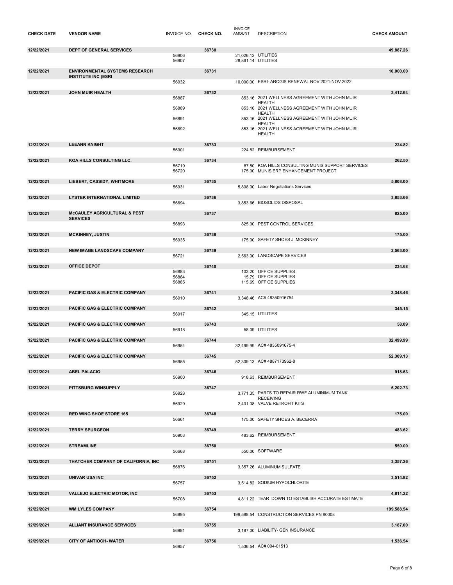| <b>CHECK DATE</b> | <b>VENDOR NAME</b>                                         | INVOICE NO. CHECK NO. |       | <b>INVOICE</b><br><b>AMOUNT</b> | <b>DESCRIPTION</b>                                                                        | <b>CHECK AMOUNT</b> |
|-------------------|------------------------------------------------------------|-----------------------|-------|---------------------------------|-------------------------------------------------------------------------------------------|---------------------|
| 12/22/2021        | <b>DEPT OF GENERAL SERVICES</b>                            |                       | 36730 |                                 |                                                                                           | 49,887.26           |
|                   |                                                            | 56906<br>56907        |       |                                 | 21,026.12 UTILITIES<br>28,861.14 UTILITIES                                                |                     |
|                   | <b>ENVIRONMENTAL SYSTEMS RESEARCH</b>                      |                       | 36731 |                                 |                                                                                           |                     |
| 12/22/2021        | <b>INSTITUTE INC (ESRI</b>                                 |                       |       |                                 |                                                                                           | 10,000.00           |
|                   |                                                            | 56932                 |       |                                 | 10,000.00 ESRI- ARCGIS RENEWAL NOV.2021-NOV.2022                                          |                     |
| 12/22/2021        | <b>JOHN MUIR HEALTH</b>                                    | 56887                 | 36732 |                                 | 853.16 2021 WELLNESS AGREEMENT WITH JOHN MUIR                                             | 3,412.64            |
|                   |                                                            |                       |       |                                 | <b>HEALTH</b><br>853.16 2021 WELLNESS AGREEMENT WITH JOHN MUIR                            |                     |
|                   |                                                            | 56889                 |       |                                 | <b>HEALTH</b>                                                                             |                     |
|                   |                                                            | 56891                 |       |                                 | 853.16 2021 WELLNESS AGREEMENT WITH JOHN MUIR<br><b>HEALTH</b>                            |                     |
|                   |                                                            | 56892                 |       |                                 | 853.16 2021 WELLNESS AGREEMENT WITH JOHN MUIR<br>HEALTH                                   |                     |
| 12/22/2021        | <b>LEEANN KNIGHT</b>                                       |                       | 36733 |                                 |                                                                                           | 224.82              |
|                   |                                                            | 56901                 |       |                                 | 224.82 REIMBURSEMENT                                                                      |                     |
| 12/22/2021        | KOA HILLS CONSULTING LLC.                                  |                       | 36734 |                                 |                                                                                           | 262.50              |
|                   |                                                            | 56719<br>56720        |       |                                 | 87.50 KOA HILLS CONSULTING MUNIS SUPPORT SERVICES<br>175.00 MUNIS ERP ENHANCEMENT PROJECT |                     |
| 12/22/2021        | LIEBERT, CASSIDY, WHITMORE                                 |                       | 36735 |                                 |                                                                                           | 5,808.00            |
|                   |                                                            | 56931                 |       |                                 | 5,808.00 Labor Negotiations Services                                                      |                     |
| 12/22/2021        | <b>LYSTEK INTERNATIONAL LIMITED</b>                        |                       | 36736 |                                 |                                                                                           | 3,853.66            |
|                   |                                                            | 56694                 |       |                                 | 3,853.66 BIOSOLIDS DISPOSAL                                                               |                     |
| 12/22/2021        | <b>McCAULEY AGRICULTURAL &amp; PEST</b><br><b>SERVICES</b> |                       | 36737 |                                 |                                                                                           | 825.00              |
|                   |                                                            | 56893                 |       |                                 | 825.00 PEST CONTROL SERVICES                                                              |                     |
| 12/22/2021        | <b>MCKINNEY, JUSTIN</b>                                    |                       | 36738 |                                 |                                                                                           | 175.00              |
|                   |                                                            | 56935                 |       |                                 | 175.00 SAFETY SHOES J. MCKINNEY                                                           |                     |
| 12/22/2021        | NEW IMAGE LANDSCAPE COMPANY                                |                       | 36739 |                                 |                                                                                           | 2,563.00            |
|                   |                                                            | 56721                 |       |                                 | 2,563.00 LANDSCAPE SERVICES                                                               |                     |
| 12/22/2021        | <b>OFFICE DEPOT</b>                                        | 56883                 | 36740 |                                 | 103.20 OFFICE SUPPLIES                                                                    | 234.68              |
|                   |                                                            | 56884<br>56885        |       |                                 | 15.79 OFFICE SUPPLIES<br>115.69 OFFICE SUPPLIES                                           |                     |
|                   |                                                            |                       |       |                                 |                                                                                           |                     |
| 12/22/2021        | PACIFIC GAS & ELECTRIC COMPANY                             | 56910                 | 36741 |                                 | 3,348.46 AC# 48350916754                                                                  | 3,348.46            |
| 12/22/2021        | <b>PACIFIC GAS &amp; ELECTRIC COMPANY</b>                  |                       | 36742 |                                 |                                                                                           | 345.15              |
|                   |                                                            | 56917                 |       |                                 | 345.15 UTILITIES                                                                          |                     |
| 12/22/2021        | PACIFIC GAS & ELECTRIC COMPANY                             |                       | 36743 |                                 |                                                                                           | 58.09               |
|                   |                                                            | 56918                 |       |                                 | 58.09 UTILITIES                                                                           |                     |
| 12/22/2021        | PACIFIC GAS & ELECTRIC COMPANY                             | 56954                 | 36744 |                                 | 32,499.99 AC# 4835091675-4                                                                | 32.499.99           |
| 12/22/2021        | PACIFIC GAS & ELECTRIC COMPANY                             |                       | 36745 |                                 |                                                                                           | 52.309.13           |
|                   |                                                            | 56955                 |       |                                 | 52,309.13 AC#4887173962-8                                                                 |                     |
| 12/22/2021        | <b>ABEL PALACIO</b>                                        |                       | 36746 |                                 |                                                                                           | 918.63              |
|                   |                                                            | 56900                 |       |                                 | 918.63 REIMBURSEMENT                                                                      |                     |
| 12/22/2021        | PITTSBURG WINSUPPLY                                        | 56928                 | 36747 |                                 | 3,771.35 PARTS TO REPAIR RWF ALUMINIMUM TANK                                              | 6.202.73            |
|                   |                                                            |                       |       |                                 | <b>RECEIVING</b>                                                                          |                     |
|                   |                                                            | 56929                 |       |                                 | 2,431.38 VALVE RETROFIT KITS                                                              |                     |
| 12/22/2021        | <b>RED WING SHOE STORE 165</b>                             | 56661                 | 36748 |                                 | 175.00 SAFETY SHOES A. BECERRA                                                            | 175.00              |
| 12/22/2021        | <b>TERRY SPURGEON</b>                                      |                       | 36749 |                                 |                                                                                           | 483.62              |
|                   |                                                            | 56903                 |       |                                 | 483.62 REIMBURSEMENT                                                                      |                     |
| 12/22/2021        | <b>STREAMLINE</b>                                          |                       | 36750 |                                 |                                                                                           | 550.00              |
|                   |                                                            | 56668                 |       |                                 | 550.00 SOFTWARE                                                                           |                     |
| 12/22/2021        | THATCHER COMPANY OF CALIFORNIA, INC                        | 56876                 | 36751 |                                 | 3.357.26 ALUMINUM SULFATE                                                                 | 3,357.26            |
|                   |                                                            |                       |       |                                 |                                                                                           |                     |
| 12/22/2021        | <b>UNIVAR USA INC</b>                                      | 56757                 | 36752 |                                 | 3,514.82 SODIUM HYPOCHLORITE                                                              | 3,514.82            |
| 12/22/2021        | <b>VALLEJO ELECTRIC MOTOR, INC</b>                         |                       | 36753 |                                 |                                                                                           | 4,811.22            |
|                   |                                                            | 56708                 |       |                                 | 4,811.22 TEAR DOWN TO ESTABLISH ACCURATE ESTIMATE                                         |                     |
| 12/22/2021        | <b>WM LYLES COMPANY</b>                                    |                       | 36754 |                                 |                                                                                           | 199,588.54          |
|                   |                                                            | 56895                 |       |                                 | 199,588.54 CONSTRUCTION SERVICES PN 80008                                                 |                     |
| 12/29/2021        | <b>ALLIANT INSURANCE SERVICES</b>                          | 56981                 | 36755 |                                 | 3,187.00 LIABILITY- GEN INSURANCE                                                         | 3,187.00            |
| 12/29/2021        | <b>CITY OF ANTIOCH- WATER</b>                              |                       | 36756 |                                 |                                                                                           | 1,536.54            |
|                   |                                                            | 56957                 |       |                                 | 1,536.54 AC# 004-01513                                                                    |                     |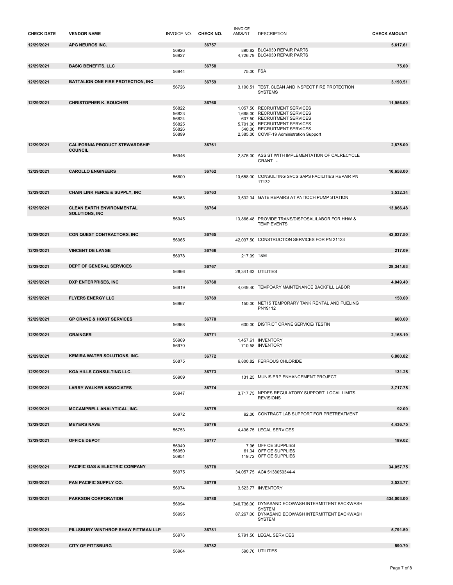| <b>CHECK DATE</b> | <b>VENDOR NAME</b>                        | INVOICE NO. CHECK NO. |       | <b>INVOICE</b><br><b>AMOUNT</b> | <b>DESCRIPTION</b>                                                     | <b>CHECK AMOUNT</b> |
|-------------------|-------------------------------------------|-----------------------|-------|---------------------------------|------------------------------------------------------------------------|---------------------|
| 12/29/2021        | APG NEUROS INC.                           |                       | 36757 |                                 |                                                                        | 5,617.61            |
|                   |                                           | 56926<br>56927        |       |                                 | 890.82 BLO4930 REPAIR PARTS<br>4.726.79 BLO4930 REPAIR PARTS           |                     |
|                   |                                           |                       |       |                                 |                                                                        |                     |
| 12/29/2021        | <b>BASIC BENEFITS, LLC</b>                | 56944                 | 36758 | 75.00 FSA                       |                                                                        | 75.00               |
| 12/29/2021        | <b>BATTALION ONE FIRE PROTECTION, INC</b> |                       | 36759 |                                 |                                                                        | 3,190.51            |
|                   |                                           | 56726                 |       |                                 | 3,190.51 TEST, CLEAN AND INSPECT FIRE PROTECTION<br><b>SYSTEMS</b>     |                     |
|                   |                                           |                       |       |                                 |                                                                        |                     |
| 12/29/2021        | <b>CHRISTOPHER K. BOUCHER</b>             | 56822                 | 36760 |                                 | 1,057.50 RECRUITMENT SERVICES                                          | 11,956.00           |
|                   |                                           | 56823                 |       |                                 | 1,665.00 RECRUITMENT SERVICES                                          |                     |
|                   |                                           | 56824<br>56825        |       |                                 | 607.50 RECRUITMENT SERVICES<br>5,701.00 RECRUITMENT SERVICES           |                     |
|                   |                                           | 56826                 |       |                                 | 540.00 RECRUITMENT SERVICES                                            |                     |
|                   |                                           | 56899                 |       |                                 | 2,385.00 COVIF-19 Administration Support                               |                     |
| 12/29/2021        | <b>CALIFORNIA PRODUCT STEWARDSHIP</b>     |                       | 36761 |                                 |                                                                        | 2,875.00            |
|                   | <b>COUNCIL</b>                            | 56946                 |       |                                 | 2.875.00 ASSIST WITH IMPLEMENTATION OF CALRECYCLE                      |                     |
|                   |                                           |                       |       |                                 | GRANT -                                                                |                     |
| 12/29/2021        | <b>CAROLLO ENGINEERS</b>                  |                       | 36762 |                                 |                                                                        | 10.658.00           |
|                   |                                           | 56800                 |       |                                 | 10,658.00 CONSULTING SVCS SAPS FACILITIES REPAIR PN                    |                     |
|                   |                                           |                       |       |                                 | 17132                                                                  |                     |
| 12/29/2021        | <b>CHAIN LINK FENCE &amp; SUPPLY, INC</b> |                       | 36763 |                                 |                                                                        | 3,532.34            |
|                   |                                           | 56963                 |       |                                 | 3.532.34 GATE REPAIRS AT ANTIOCH PUMP STATION                          |                     |
| 12/29/2021        | <b>CLEAN EARTH ENVIRONMENTAL</b>          |                       | 36764 |                                 |                                                                        | 13,866.48           |
|                   | <b>SOLUTIONS, INC</b>                     |                       |       |                                 |                                                                        |                     |
|                   |                                           | 56945                 |       |                                 | 13,866.48 PROVIDE TRANS/DISPOSAL/LABOR FOR HHW &<br><b>TEMP EVENTS</b> |                     |
| 12/29/2021        |                                           |                       |       |                                 |                                                                        |                     |
|                   | CON QUEST CONTRACTORS, INC                | 56965                 | 36765 |                                 | 42,037.50 CONSTRUCTION SERVICES FOR PN 21123                           | 42,037.50           |
|                   |                                           |                       |       |                                 |                                                                        |                     |
| 12/29/2021        | <b>VINCENT DE LANGE</b>                   | 56978                 | 36766 | 217.09 T&M                      |                                                                        | 217.09              |
|                   |                                           |                       |       |                                 |                                                                        |                     |
| 12/29/2021        | <b>DEPT OF GENERAL SERVICES</b>           | 56966                 | 36767 |                                 | 28,341.63 UTILITIES                                                    | 28,341.63           |
|                   |                                           |                       |       |                                 |                                                                        |                     |
| 12/29/2021        | DXP ENTERPRISES, INC                      |                       | 36768 |                                 |                                                                        | 4,049.40            |
|                   |                                           | 56919                 |       |                                 | 4,049.40 TEMPOARY MAINTENANCE BACKFILL LABOR                           |                     |
| 12/29/2021        | <b>FLYERS ENERGY LLC</b>                  |                       | 36769 |                                 |                                                                        | 150.00              |
|                   |                                           | 56967                 |       |                                 | 150.00 NET15 TEMPORARY TANK RENTAL AND FUELING<br>PN19112              |                     |
|                   |                                           |                       |       |                                 |                                                                        |                     |
| 12/29/2021        | <b>GP CRANE &amp; HOIST SERVICES</b>      | 56968                 | 36770 |                                 | 600.00 DISTRICT CRANE SERVICE/ TESTIN                                  | 600.00              |
|                   |                                           |                       |       |                                 |                                                                        |                     |
| 12/29/2021        | <b>GRAINGER</b>                           | 56969                 | 36771 |                                 | 1,457.61 INVENTORY                                                     | 2,168.19            |
|                   |                                           | 56970                 |       |                                 | 710.58 INVENTORY                                                       |                     |
| 12/29/2021        | <b>KEMIRA WATER SOLUTIONS, INC.</b>       |                       | 36772 |                                 |                                                                        | 6,800.82            |
|                   |                                           | 56875                 |       |                                 | 6,800.82 FERROUS CHLORIDE                                              |                     |
| 12/29/2021        | KOA HILLS CONSULTING LLC.                 |                       | 36773 |                                 |                                                                        | 131.25              |
|                   |                                           | 56909                 |       |                                 | 131.25 MUNIS ERP ENHANCEMENT PROJECT                                   |                     |
|                   |                                           |                       |       |                                 |                                                                        |                     |
| 12/29/2021        | <b>LARRY WALKER ASSOCIATES</b>            | 56947                 | 36774 |                                 | 3,717.75 NPDES REGULATORY SUPPORT, LOCAL LIMITS                        | 3,717.75            |
|                   |                                           |                       |       |                                 | <b>REVISIONS</b>                                                       |                     |
| 12/29/2021        | MCCAMPBELL ANALYTICAL, INC.               |                       | 36775 |                                 |                                                                        | 92.00               |
|                   |                                           | 56972                 |       |                                 | 92.00 CONTRACT LAB SUPPORT FOR PRETREATMENT                            |                     |
| 12/29/2021        | <b>MEYERS NAVE</b>                        |                       | 36776 |                                 |                                                                        | 4,436.75            |
|                   |                                           | 56753                 |       |                                 | 4,436.75 LEGAL SERVICES                                                |                     |
|                   |                                           |                       |       |                                 |                                                                        | 189.02              |
| 12/29/2021        | <b>OFFICE DEPOT</b>                       | 56949                 | 36777 |                                 | 7.96 OFFICE SUPPLIES                                                   |                     |
|                   |                                           | 56950                 |       |                                 | 61.34 OFFICE SUPPLIES                                                  |                     |
|                   |                                           | 56951                 |       |                                 | 119.72 OFFICE SUPPLIES                                                 |                     |
| 12/29/2021        | PACIFIC GAS & ELECTRIC COMPANY            |                       | 36778 |                                 |                                                                        | 34,057.75           |
|                   |                                           | 56975                 |       |                                 | 34,057.75 AC# 5138050344-4                                             |                     |
| 12/29/2021        | PAN PACIFIC SUPPLY CO.                    |                       | 36779 |                                 |                                                                        | 3,523.77            |
|                   |                                           | 56974                 |       |                                 | 3,523.77 INVENTORY                                                     |                     |
| 12/29/2021        | <b>PARKSON CORPORATION</b>                |                       | 36780 |                                 |                                                                        | 434,003.00          |
|                   |                                           | 56994                 |       |                                 | 346,736.00 DYNASAND ECOWASH INTERMITTENT BACKWASH<br><b>SYSTEM</b>     |                     |
|                   |                                           | 56995                 |       |                                 | 87,267.00 DYNASAND ECOWASH INTERMITTENT BACKWASH                       |                     |
|                   |                                           |                       |       |                                 | <b>SYSTEM</b>                                                          |                     |
| 12/29/2021        | PILLSBURY WINTHROP SHAW PITTMAN LLP       |                       | 36781 |                                 |                                                                        | 5,791.50            |
|                   |                                           | 56976                 |       |                                 | 5,791.50 LEGAL SERVICES                                                |                     |
| 12/29/2021        | <b>CITY OF PITTSBURG</b>                  |                       | 36782 |                                 |                                                                        | 590.70              |
|                   |                                           | 56964                 |       |                                 | 590.70 UTILITIES                                                       |                     |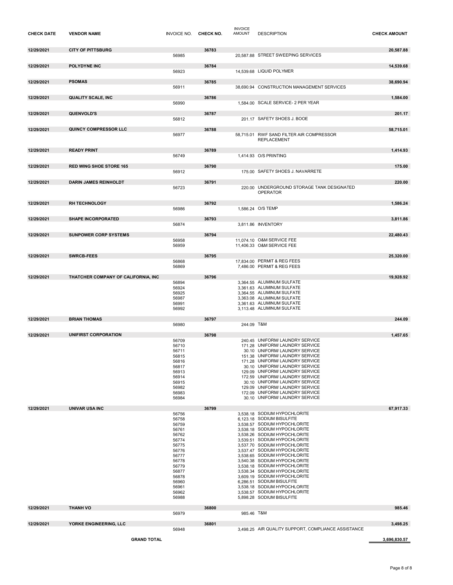| <b>CHECK DATE</b> | <b>VENDOR NAME</b>                  | INVOICE NO. CHECK NO.                                                                                                                                 |       | <b>INVOICE</b><br><b>AMOUNT</b> | <b>DESCRIPTION</b>                                                                                                                                                                                                                                                                                                                                                                                                                                                                                                                                  | <b>CHECK AMOUNT</b> |
|-------------------|-------------------------------------|-------------------------------------------------------------------------------------------------------------------------------------------------------|-------|---------------------------------|-----------------------------------------------------------------------------------------------------------------------------------------------------------------------------------------------------------------------------------------------------------------------------------------------------------------------------------------------------------------------------------------------------------------------------------------------------------------------------------------------------------------------------------------------------|---------------------|
| 12/29/2021        | <b>CITY OF PITTSBURG</b>            | 56985                                                                                                                                                 | 36783 |                                 | 20,587.88 STREET SWEEPING SERVICES                                                                                                                                                                                                                                                                                                                                                                                                                                                                                                                  | 20,587.88           |
| 12/29/2021        | <b>POLYDYNE INC</b>                 | 56923                                                                                                                                                 | 36784 |                                 | 14.539.68 LIQUID POLYMER                                                                                                                                                                                                                                                                                                                                                                                                                                                                                                                            | 14,539.68           |
| 12/29/2021        | <b>PSOMAS</b>                       | 56911                                                                                                                                                 | 36785 |                                 | 38,690.94 CONSTRUCTION MANAGEMENT SERVICES                                                                                                                                                                                                                                                                                                                                                                                                                                                                                                          | 38,690.94           |
| 12/29/2021        | <b>QUALITY SCALE, INC</b>           | 56990                                                                                                                                                 | 36786 |                                 | 1,584.00 SCALE SERVICE- 2 PER YEAR                                                                                                                                                                                                                                                                                                                                                                                                                                                                                                                  | 1,584.00            |
| 12/29/2021        | <b>QUENVOLD'S</b>                   |                                                                                                                                                       | 36787 |                                 | 201.17 SAFETY SHOES J. BOOE                                                                                                                                                                                                                                                                                                                                                                                                                                                                                                                         | 201.17              |
|                   |                                     | 56812                                                                                                                                                 |       |                                 |                                                                                                                                                                                                                                                                                                                                                                                                                                                                                                                                                     |                     |
| 12/29/2021        | QUINCY COMPRESSOR LLC               | 56977                                                                                                                                                 | 36788 |                                 | 58.715.01 RWF SAND FILTER AIR COMPRESSOR<br><b>REPLACEMENT</b>                                                                                                                                                                                                                                                                                                                                                                                                                                                                                      | 58,715.01           |
| 12/29/2021        | <b>READY PRINT</b>                  | 56749                                                                                                                                                 | 36789 |                                 | 1,414.93 O/S PRINTING                                                                                                                                                                                                                                                                                                                                                                                                                                                                                                                               | 1,414.93            |
| 12/29/2021        | <b>RED WING SHOE STORE 165</b>      | 56912                                                                                                                                                 | 36790 |                                 | 175.00 SAFETY SHOES J. NAVARRETE                                                                                                                                                                                                                                                                                                                                                                                                                                                                                                                    | 175.00              |
| 12/29/2021        | <b>DARIN JAMES REINHOLDT</b>        |                                                                                                                                                       | 36791 |                                 |                                                                                                                                                                                                                                                                                                                                                                                                                                                                                                                                                     | 220.00              |
|                   |                                     | 56723                                                                                                                                                 |       |                                 | 220.00 UNDERGROUND STORAGE TANK DESIGNATED<br><b>OPERATOR</b>                                                                                                                                                                                                                                                                                                                                                                                                                                                                                       |                     |
| 12/29/2021        | <b>RH TECHNOLOGY</b>                | 56986                                                                                                                                                 | 36792 |                                 | 1,586.24 O/S TEMP                                                                                                                                                                                                                                                                                                                                                                                                                                                                                                                                   | 1,586.24            |
| 12/29/2021        | <b>SHAPE INCORPORATED</b>           | 56874                                                                                                                                                 | 36793 |                                 | 3,811.86 INVENTORY                                                                                                                                                                                                                                                                                                                                                                                                                                                                                                                                  | 3,811.86            |
| 12/29/2021        | <b>SUNPOWER CORP SYSTEMS</b>        |                                                                                                                                                       | 36794 |                                 |                                                                                                                                                                                                                                                                                                                                                                                                                                                                                                                                                     | 22,480.43           |
|                   |                                     | 56958<br>56959                                                                                                                                        |       |                                 | 11,074.10 O&M SERVICE FEE<br>11,406.33 O&M SERVICE FEE                                                                                                                                                                                                                                                                                                                                                                                                                                                                                              |                     |
| 12/29/2021        | <b>SWRCB-FEES</b>                   |                                                                                                                                                       | 36795 |                                 |                                                                                                                                                                                                                                                                                                                                                                                                                                                                                                                                                     | 25,320.00           |
|                   |                                     | 56868<br>56869                                                                                                                                        |       |                                 | 17,834.00 PERMIT & REG FEES<br>7.486.00 PERMIT & REG FEES                                                                                                                                                                                                                                                                                                                                                                                                                                                                                           |                     |
| 12/29/2021        | THATCHER COMPANY OF CALIFORNIA, INC |                                                                                                                                                       | 36796 |                                 |                                                                                                                                                                                                                                                                                                                                                                                                                                                                                                                                                     | 19,928.92           |
|                   |                                     | 56894<br>56924<br>56925<br>56987<br>56991                                                                                                             |       |                                 | 3,364.55 ALUMINUM SULFATE<br>3,361.63 ALUMINUM SULFATE<br>3,364.55 ALUMINUM SULFATE<br>3,363.08 ALUMINUM SULFATE<br>3,361.63 ALUMINUM SULFATE                                                                                                                                                                                                                                                                                                                                                                                                       |                     |
|                   |                                     | 56992                                                                                                                                                 |       |                                 | 3,113.48 ALUMINUM SULFATE                                                                                                                                                                                                                                                                                                                                                                                                                                                                                                                           |                     |
| 12/29/2021        | <b>BRIAN THOMAS</b>                 | 56980                                                                                                                                                 | 36797 | 244.09 T&M                      |                                                                                                                                                                                                                                                                                                                                                                                                                                                                                                                                                     | 244.09              |
| 12/29/2021        | UNIFIRST CORPORATION                |                                                                                                                                                       | 36798 |                                 |                                                                                                                                                                                                                                                                                                                                                                                                                                                                                                                                                     | 1,457.65            |
|                   |                                     | 56709<br>56710<br>56711<br>56815<br>56816<br>56817<br>56913<br>56914<br>56915<br>56982<br>56983<br>56984                                              |       |                                 | 240.45 UNIFORM/ LAUNDRY SERVICE<br>171.28 UNIFORM/ LAUNDRY SERVICE<br>30.10 UNIFORM/ LAUNDRY SERVICE<br>151.38 UNIFORM/ LAUNDRY SERVICE<br>171.28 UNIFORM/ LAUNDRY SERVICE<br>30.10 UNIFORM/ LAUNDRY SERVICE<br>129.09 UNIFORM/ LAUNDRY SERVICE<br>172.59 UNIFORM/ LAUNDRY SERVICE<br>30.10 UNIFORM/ LAUNDRY SERVICE<br>129.09 UNIFORM/ LAUNDRY SERVICE<br>172.09 UNIFORM/ LAUNDRY SERVICE<br>30.10 UNIFORM/ LAUNDRY SERVICE                                                                                                                        |                     |
| 12/29/2021        | <b>UNIVAR USA INC</b>               |                                                                                                                                                       | 36799 |                                 |                                                                                                                                                                                                                                                                                                                                                                                                                                                                                                                                                     | 67,917.33           |
|                   |                                     | 56756<br>56758<br>56759<br>56761<br>56762<br>56774<br>56775<br>56776<br>56777<br>56778<br>56779<br>56877<br>56878<br>56960<br>56961<br>56962<br>56988 |       |                                 | 3.538.18 SODIUM HYPOCHLORITE<br>6,123.18 SODIUM BISULFITE<br>3,538.57 SODIUM HYPOCHLORITE<br>3,538.18 SODIUM HYPOCHLORITE<br>3.538.26 SODIUM HYPOCHLORITE<br>3,539.51 SODIUM HYPOCHLORITE<br>3.537.70 SODIUM HYPOCHLORITE<br>3,537.47 SODIUM HYPOCHLORITE<br>3,538.65 SODIUM HYPOCHLORITE<br>3,540.38 SODIUM HYPOCHLORITE<br>3,538.18 SODIUM HYPOCHLORITE<br>3.538.34 SODIUM HYPOCHLORITE<br>3,609.19 SODIUM HYPOCHLORITE<br>6,286.51 SODIUM BISULFITE<br>3,538.18 SODIUM HYPOCHLORITE<br>3,538.57 SODIUM HYPOCHLORITE<br>5,898.28 SODIUM BISULFITE |                     |
| 12/29/2021        | <b>THANH VO</b>                     | 56979                                                                                                                                                 | 36800 | 985.46 T&M                      |                                                                                                                                                                                                                                                                                                                                                                                                                                                                                                                                                     | 985.46              |
| 12/29/2021        | YORKE ENGINEERING, LLC              | 56948                                                                                                                                                 | 36801 |                                 | 3,498.25 AIR QUALITY SUPPORT, COMPLIANCE ASSISTANCE                                                                                                                                                                                                                                                                                                                                                                                                                                                                                                 | 3,498.25            |
|                   | <b>GRAND TOTAL</b>                  |                                                                                                                                                       |       |                                 |                                                                                                                                                                                                                                                                                                                                                                                                                                                                                                                                                     | 3,696,830.57        |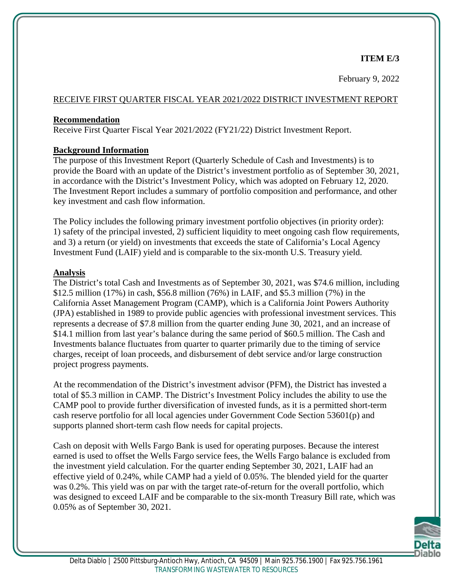### **ITEM E/3**

February 9, 2022

#### RECEIVE FIRST QUARTER FISCAL YEAR 2021/2022 DISTRICT INVESTMENT REPORT

#### **Recommendation**

Receive First Quarter Fiscal Year 2021/2022 (FY21/22) District Investment Report.

### **Background Information**

The purpose of this Investment Report (Quarterly Schedule of Cash and Investments) is to provide the Board with an update of the District's investment portfolio as of September 30, 2021, in accordance with the District's Investment Policy, which was adopted on February 12, 2020. The Investment Report includes a summary of portfolio composition and performance, and other key investment and cash flow information.

The Policy includes the following primary investment portfolio objectives (in priority order): 1) safety of the principal invested, 2) sufficient liquidity to meet ongoing cash flow requirements, and 3) a return (or yield) on investments that exceeds the state of California's Local Agency Investment Fund (LAIF) yield and is comparable to the six-month U.S. Treasury yield.

#### **Analysis**

The District's total Cash and Investments as of September 30, 2021, was \$74.6 million, including \$12.5 million (17%) in cash, \$56.8 million (76%) in LAIF, and \$5.3 million (7%) in the California Asset Management Program (CAMP), which is a California Joint Powers Authority (JPA) established in 1989 to provide public agencies with professional investment services. This represents a decrease of \$7.8 million from the quarter ending June 30, 2021, and an increase of \$14.1 million from last year's balance during the same period of \$60.5 million. The Cash and Investments balance fluctuates from quarter to quarter primarily due to the timing of service charges, receipt of loan proceeds, and disbursement of debt service and/or large construction project progress payments.

At the recommendation of the District's investment advisor (PFM), the District has invested a total of \$5.3 million in CAMP. The District's Investment Policy includes the ability to use the CAMP pool to provide further diversification of invested funds, as it is a permitted short-term cash reserve portfolio for all local agencies under Government Code Section 53601(p) and supports planned short-term cash flow needs for capital projects.

Cash on deposit with Wells Fargo Bank is used for operating purposes. Because the interest earned is used to offset the Wells Fargo service fees, the Wells Fargo balance is excluded from the investment yield calculation. For the quarter ending September 30, 2021, LAIF had an effective yield of 0.24%, while CAMP had a yield of 0.05%. The blended yield for the quarter was 0.2%. This yield was on par with the target rate-of-return for the overall portfolio, which was designed to exceed LAIF and be comparable to the six-month Treasury Bill rate, which was 0.05% as of September 30, 2021.

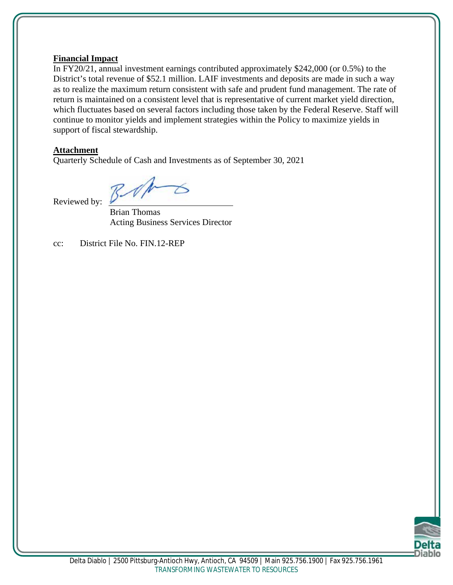#### **Financial Impact**

In FY20/21, annual investment earnings contributed approximately \$242,000 (or 0.5%) to the District's total revenue of \$52.1 million. LAIF investments and deposits are made in such a way as to realize the maximum return consistent with safe and prudent fund management. The rate of return is maintained on a consistent level that is representative of current market yield direction, which fluctuates based on several factors including those taken by the Federal Reserve. Staff will continue to monitor yields and implement strategies within the Policy to maximize yields in support of fiscal stewardship.

#### **Attachment**

Quarterly Schedule of Cash and Investments as of September 30, 2021

Reviewed by:

Brian Thomas Acting Business Services Director

cc: District File No. FIN.12-REP

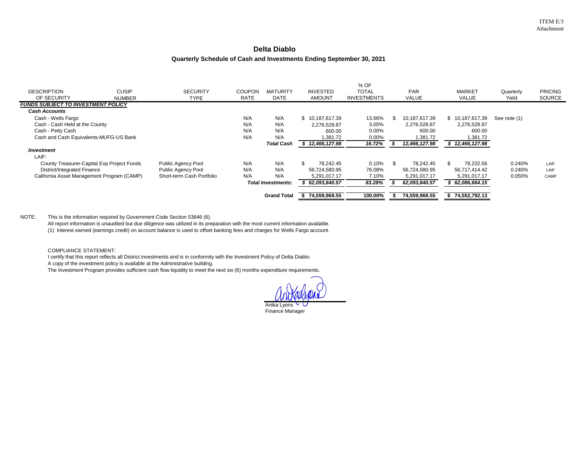#### **Delta Diablo**

#### **Quarterly Schedule of Cash and Investments Ending September 30, 2021**

|                                            |               |                           |               |                           |                 | % OF               |               |                 |              |                |
|--------------------------------------------|---------------|---------------------------|---------------|---------------------------|-----------------|--------------------|---------------|-----------------|--------------|----------------|
| <b>DESCRIPTION</b>                         | <b>CUSIP</b>  | <b>SECURITY</b>           | <b>COUPON</b> | <b>MATURITY</b>           | <b>INVESTED</b> | <b>TOTAL</b>       | <b>PAR</b>    | <b>MARKET</b>   | Quarterly    | <b>PRICING</b> |
| OF SECURITY                                | <b>NUMBER</b> | TYPE                      | <b>RATE</b>   | <b>DATE</b>               | AMOUNT          | <b>INVESTMENTS</b> | VALUE         | VALUE           | Yield        | SOURCE         |
| <b>FUNDS SUBJECT TO INVESTMENT POLICY</b>  |               |                           |               |                           |                 |                    |               |                 |              |                |
| <b>Cash Accounts</b>                       |               |                           |               |                           |                 |                    |               |                 |              |                |
| Cash - Wells Fargo                         |               |                           | N/A           | N/A                       | \$10,187,617.39 | 13.66%             | 10,187,617.39 | \$10,187,617.39 | See note (1) |                |
| Cash - Cash Held at the County             |               |                           | N/A           | N/A                       | 2.276.528.87    | 3.05%              | 2,276,528.87  | 2,276,528.87    |              |                |
| Cash - Petty Cash                          |               |                           | N/A           | N/A                       | 600.00          | 0.00%              | 600.00        | 600.00          |              |                |
| Cash and Cash Equivalents-MUFG-US Bank     |               |                           | N/A           | N/A                       | 1,381.72        | 0.00%              | 1,381.72      | 1,381.72        |              |                |
|                                            |               |                           |               | <b>Total Cash</b>         | 12,466,127.98   | 16.72%             | 12,466,127.98 | \$12,466,127.98 |              |                |
| <b>Investment</b>                          |               |                           |               |                           |                 |                    |               |                 |              |                |
| LAIF:                                      |               |                           |               |                           |                 |                    |               |                 |              |                |
| County Treasurer-Capital Exp Project Funds |               | Public Agency Pool        | N/A           | N/A                       | 78.242.45       | 0.10%              | 78.242.45     | 78.232.56       | 0.240%       | LAIF           |
| District/Integrated Finance                |               | Public Agency Pool        | N/A           | N/A                       | 56.724.580.95   | 76.08%             | 56,724,580.95 | 56.717.414.42   | 0.240%       | LAIF           |
| California Asset Management Program (CAMP) |               | Short-term Cash Portfolio | N/A           | N/A                       | 5,291,017.17    | 7.10%              | 5,291,017.17  | 5,291,017.17    | 0.050%       | CAMP           |
|                                            |               |                           |               | <b>Total Investments:</b> | 62,093,840.57   | 83.28%             | 62.093.840.57 | 62,086,664.15   |              |                |
|                                            |               |                           |               | <b>Grand Total</b>        | 74,559,968.55   | 100.00%            | 74,559,968.55 | \$74,552,792.13 |              |                |

#### NOTE: This is the information required by Government Code Section 53646 (6).

All report information is unaudited but due diligence was utilized in its preparation with the most current information available.

(1) Interest earned (earnings credit) on account balance is used to offset banking fees and charges for Wells Fargo account.

COMPLIANCE STATEMENT:

I certify that this report reflects all District investments and is in conformity with the Investment Policy of Delta Diablo.

A copy of the investment policy is available at the Administrative building.

The Investment Program provides sufficient cash flow liquidity to meet the next six (6) months expenditure requirements.

Anika Lyons Finance Manager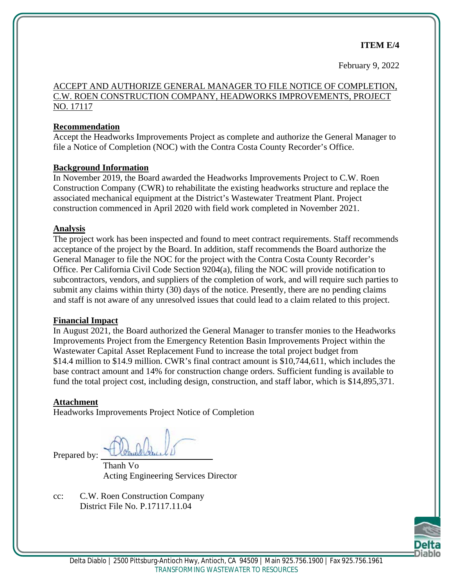#### **ITEM E/4**

February 9, 2022

#### ACCEPT AND AUTHORIZE GENERAL MANAGER TO FILE NOTICE OF COMPLETION, C.W. ROEN CONSTRUCTION COMPANY, HEADWORKS IMPROVEMENTS, PROJECT NO. 17117

#### **Recommendation**

Accept the Headworks Improvements Project as complete and authorize the General Manager to file a Notice of Completion (NOC) with the Contra Costa County Recorder's Office.

#### **Background Information**

In November 2019, the Board awarded the Headworks Improvements Project to C.W. Roen Construction Company (CWR) to rehabilitate the existing headworks structure and replace the associated mechanical equipment at the District's Wastewater Treatment Plant. Project construction commenced in April 2020 with field work completed in November 2021.

#### **Analysis**

The project work has been inspected and found to meet contract requirements. Staff recommends acceptance of the project by the Board. In addition, staff recommends the Board authorize the General Manager to file the NOC for the project with the Contra Costa County Recorder's Office. Per California Civil Code Section 9204(a), filing the NOC will provide notification to subcontractors, vendors, and suppliers of the completion of work, and will require such parties to submit any claims within thirty (30) days of the notice. Presently, there are no pending claims and staff is not aware of any unresolved issues that could lead to a claim related to this project.

#### **Financial Impact**

In August 2021, the Board authorized the General Manager to transfer monies to the Headworks Improvements Project from the Emergency Retention Basin Improvements Project within the Wastewater Capital Asset Replacement Fund to increase the total project budget from \$14.4 million to \$14.9 million. CWR's final contract amount is \$10,744,611, which includes the base contract amount and 14% for construction change orders. Sufficient funding is available to fund the total project cost, including design, construction, and staff labor, which is \$14,895,371.

#### **Attachment**

Headworks Improvements Project Notice of Completion

Prepared by:

Thanh Vo Acting Engineering Services Director

cc: C.W. Roen Construction Company District File No. P.17117.11.04

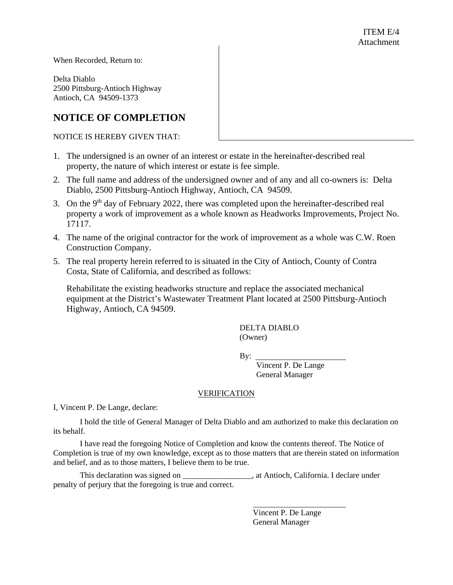When Recorded, Return to:

Delta Diablo 2500 Pittsburg-Antioch Highway Antioch, CA 94509-1373

#### **NOTICE OF COMPLETION**

NOTICE IS HEREBY GIVEN THAT:

- 1. The undersigned is an owner of an interest or estate in the hereinafter-described real property, the nature of which interest or estate is fee simple.
- 2. The full name and address of the undersigned owner and of any and all co-owners is: Delta Diablo, 2500 Pittsburg-Antioch Highway, Antioch, CA 94509.
- 3. On the 9<sup>th</sup> day of February 2022, there was completed upon the hereinafter-described real property a work of improvement as a whole known as Headworks Improvements, Project No. 17117.
- 4. The name of the original contractor for the work of improvement as a whole was C.W. Roen Construction Company.
- 5. The real property herein referred to is situated in the City of Antioch, County of Contra Costa, State of California, and described as follows:

Rehabilitate the existing headworks structure and replace the associated mechanical equipment at the District's Wastewater Treatment Plant located at 2500 Pittsburg-Antioch Highway, Antioch, CA 94509.

> DELTA DIABLO (Owner)

By:

Vincent P. De Lange General Manager

#### VERIFICATION

I, Vincent P. De Lange, declare:

I hold the title of General Manager of Delta Diablo and am authorized to make this declaration on its behalf.

I have read the foregoing Notice of Completion and know the contents thereof. The Notice of Completion is true of my own knowledge, except as to those matters that are therein stated on information and belief, and as to those matters, I believe them to be true.

This declaration was signed on  $\qquad \qquad$ , at Antioch, California. I declare under penalty of perjury that the foregoing is true and correct.

> Vincent P. De Lange General Manager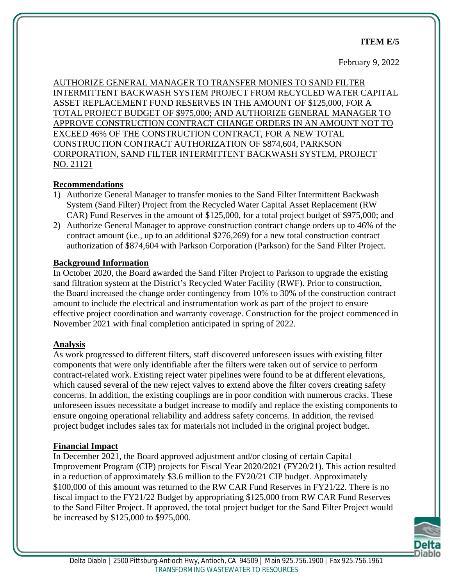#### **ITEM E/5**

#### February 9, 2022

AUTHORIZE GENERAL MANAGER TO TRANSFER MONIES TO SAND FILTER INTERMITTENT BACKWASH SYSTEM PROJECT FROM RECYCLED WATER CAPITAL ASSET REPLACEMENT FUND RESERVES IN THE AMOUNT OF \$125,000, FOR A TOTAL PROJECT BUDGET OF \$975,000; AND AUTHORIZE GENERAL MANAGER TO APPROVE CONSTRUCTION CONTRACT CHANGE ORDERS IN AN AMOUNT NOT TO EXCEED 46% OF THE CONSTRUCTION CONTRACT, FOR A NEW TOTAL CONSTRUCTION CONTRACT AUTHORIZATION OF \$874,604, PARKSON CORPORATION, SAND FILTER INTERMITTENT BACKWASH SYSTEM, PROJECT NO. 21121

#### **Recommendations**

- 1) Authorize General Manager to transfer monies to the Sand Filter Intermittent Backwash System (Sand Filter) Project from the Recycled Water Capital Asset Replacement (RW CAR) Fund Reserves in the amount of \$125,000, for a total project budget of \$975,000; and
- 2) Authorize General Manager to approve construction contract change orders up to 46% of the contract amount (i.e., up to an additional \$276,269) for a new total construction contract authorization of \$874,604 with Parkson Corporation (Parkson) for the Sand Filter Project.

#### **Background Information**

In October 2020, the Board awarded the Sand Filter Project to Parkson to upgrade the existing sand filtration system at the District's Recycled Water Facility (RWF). Prior to construction, the Board increased the change order contingency from 10% to 30% of the construction contract amount to include the electrical and instrumentation work as part of the project to ensure effective project coordination and warranty coverage. Construction for the project commenced in November 2021 with final completion anticipated in spring of 2022.

#### **Analysis**

As work progressed to different filters, staff discovered unforeseen issues with existing filter components that were only identifiable after the filters were taken out of service to perform contract-related work. Existing reject water pipelines were found to be at different elevations, which caused several of the new reject valves to extend above the filter covers creating safety concerns. In addition, the existing couplings are in poor condition with numerous cracks. These unforeseen issues necessitate a budget increase to modify and replace the existing components to ensure ongoing operational reliability and address safety concerns. In addition, the revised project budget includes sales tax for materials not included in the original project budget.

#### **Financial Impact**

In December 2021, the Board approved adjustment and/or closing of certain Capital Improvement Program (CIP) projects for Fiscal Year 2020/2021 (FY20/21). This action resulted in a reduction of approximately \$3.6 million to the FY20/21 CIP budget. Approximately \$100,000 of this amount was returned to the RW CAR Fund Reserves in FY21/22. There is no fiscal impact to the FY21/22 Budget by appropriating \$125,000 from RW CAR Fund Reserves to the Sand Filter Project. If approved, the total project budget for the Sand Filter Project would be increased by \$125,000 to \$975,000.

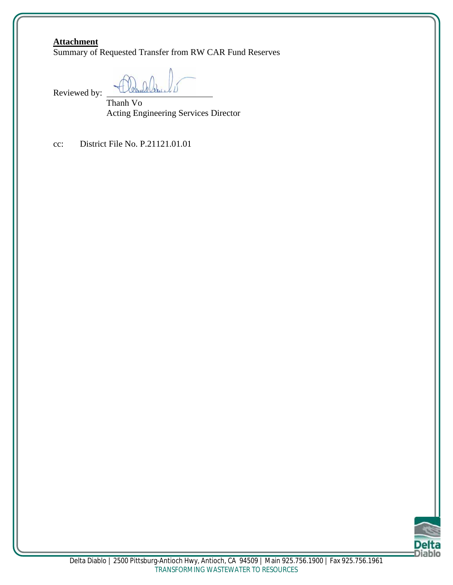#### **Attachment**

Summary of Requested Transfer from RW CAR Fund Reserves

Reviewed by:

Thanh Vo Acting Engineering Services Director

cc: District File No. P.21121.01.01

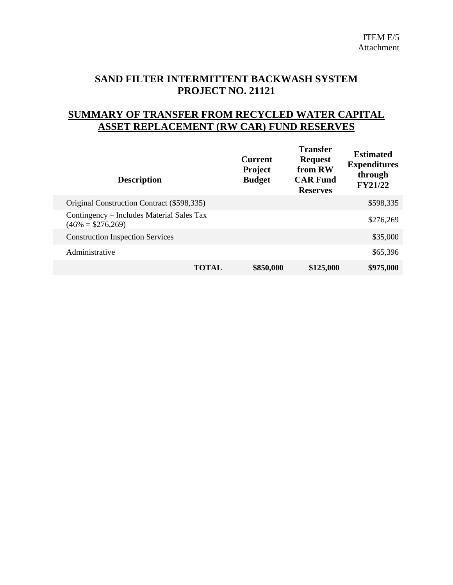# **SAND FILTER INTERMITTENT BACKWASH SYSTEM PROJECT NO. 21121**

## **SUMMARY OF TRANSFER FROM RECYCLED WATER CAPITAL ASSET REPLACEMENT (RW CAR) FUND RESERVES**

| <b>Description</b>                                               | <b>Current</b><br><b>Project</b><br><b>Budget</b> | <b>Transfer</b><br><b>Request</b><br>from RW<br><b>CAR Fund</b><br><b>Reserves</b> | <b>Estimated</b><br><b>Expenditures</b><br>through<br><b>FY21/22</b> |
|------------------------------------------------------------------|---------------------------------------------------|------------------------------------------------------------------------------------|----------------------------------------------------------------------|
| Original Construction Contract (\$598,335)                       |                                                   |                                                                                    | \$598,335                                                            |
| Contingency – Includes Material Sales Tax<br>$(46\% = $276,269)$ |                                                   |                                                                                    | \$276,269                                                            |
| <b>Construction Inspection Services</b>                          |                                                   |                                                                                    | \$35,000                                                             |
| Administrative                                                   |                                                   |                                                                                    | \$65,396                                                             |
|                                                                  | \$850,000<br><b>TOTAL</b>                         | \$125,000                                                                          | \$975,000                                                            |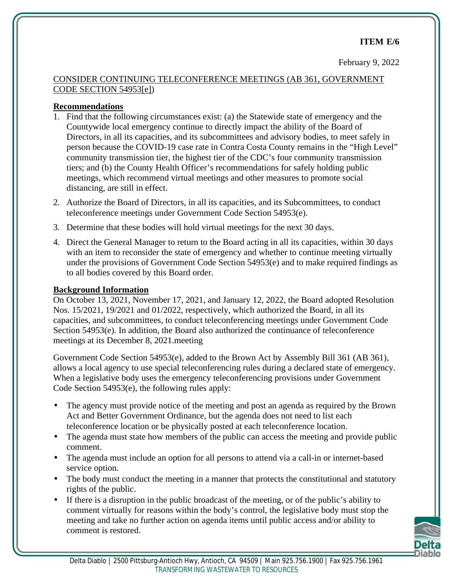#### **ITEM E/6**

February 9, 2022

### CONSIDER CONTINUING TELECONFERENCE MEETINGS (AB 361, GOVERNMENT CODE SECTION 54953[e])

#### **Recommendations**

- 1. Find that the following circumstances exist: (a) the Statewide state of emergency and the Countywide local emergency continue to directly impact the ability of the Board of Directors, in all its capacities, and its subcommittees and advisory bodies, to meet safely in person because the COVID-19 case rate in Contra Costa County remains in the "High Level" community transmission tier, the highest tier of the CDC's four community transmission tiers; and (b) the County Health Officer's recommendations for safely holding public meetings, which recommend virtual meetings and other measures to promote social distancing, are still in effect.
- 2. Authorize the Board of Directors, in all its capacities, and its Subcommittees, to conduct teleconference meetings under Government Code Section 54953(e).
- 3. Determine that these bodies will hold virtual meetings for the next 30 days.
- 4. Direct the General Manager to return to the Board acting in all its capacities, within 30 days with an item to reconsider the state of emergency and whether to continue meeting virtually under the provisions of Government Code Section 54953(e) and to make required findings as to all bodies covered by this Board order.

#### **Background Information**

On October 13, 2021, November 17, 2021, and January 12, 2022, the Board adopted Resolution Nos. 15/2021, 19/2021 and 01/2022, respectively, which authorized the Board, in all its capacities, and subcommittees, to conduct teleconferencing meetings under Government Code Section 54953(e). In addition, the Board also authorized the continuance of teleconference meetings at its December 8, 2021.meeting

Government Code Section 54953(e), added to the Brown Act by Assembly Bill 361 (AB 361), allows a local agency to use special teleconferencing rules during a declared state of emergency. When a legislative body uses the emergency teleconferencing provisions under Government Code Section 54953(e), the following rules apply:

- The agency must provide notice of the meeting and post an agenda as required by the Brown Act and Better Government Ordinance, but the agenda does not need to list each teleconference location or be physically posted at each teleconference location.
- The agenda must state how members of the public can access the meeting and provide public comment.
- The agenda must include an option for all persons to attend via a call-in or internet-based service option.
- The body must conduct the meeting in a manner that protects the constitutional and statutory rights of the public.
- If there is a disruption in the public broadcast of the meeting, or of the public's ability to comment virtually for reasons within the body's control, the legislative body must stop the meeting and take no further action on agenda items until public access and/or ability to comment is restored.

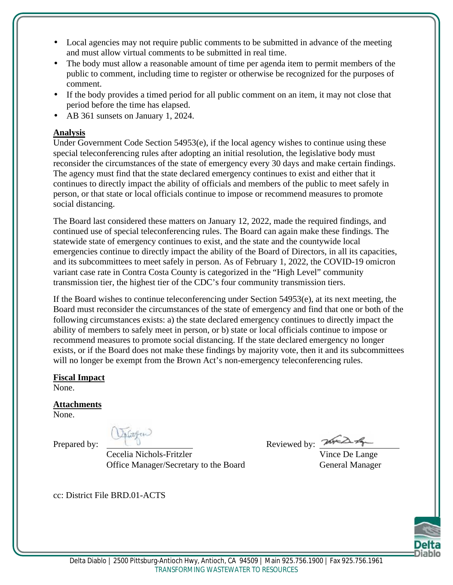- Local agencies may not require public comments to be submitted in advance of the meeting and must allow virtual comments to be submitted in real time.
- The body must allow a reasonable amount of time per agenda item to permit members of the public to comment, including time to register or otherwise be recognized for the purposes of comment.
- If the body provides a timed period for all public comment on an item, it may not close that period before the time has elapsed.
- AB 361 sunsets on January 1, 2024.

### **Analysis**

Under Government Code Section 54953(e), if the local agency wishes to continue using these special teleconferencing rules after adopting an initial resolution, the legislative body must reconsider the circumstances of the state of emergency every 30 days and make certain findings. The agency must find that the state declared emergency continues to exist and either that it continues to directly impact the ability of officials and members of the public to meet safely in person, or that state or local officials continue to impose or recommend measures to promote social distancing.

The Board last considered these matters on January 12, 2022, made the required findings, and continued use of special teleconferencing rules. The Board can again make these findings. The statewide state of emergency continues to exist, and the state and the countywide local emergencies continue to directly impact the ability of the Board of Directors, in all its capacities, and its subcommittees to meet safely in person. As of February 1, 2022, the COVID-19 omicron variant case rate in Contra Costa County is categorized in the "High Level" community transmission tier, the highest tier of the CDC's four community transmission tiers.

If the Board wishes to continue teleconferencing under Section 54953(e), at its next meeting, the Board must reconsider the circumstances of the state of emergency and find that one or both of the following circumstances exists: a) the state declared emergency continues to directly impact the ability of members to safely meet in person, or b) state or local officials continue to impose or recommend measures to promote social distancing. If the state declared emergency no longer exists, or if the Board does not make these findings by majority vote, then it and its subcommittees will no longer be exempt from the Brown Act's non-emergency teleconferencing rules.

**Fiscal Impact**

None.

# **Attachments**

None.

Cecelia Nichols-Fritzler Vince De Lange Office Manager/Secretary to the Board General Manager

Prepared by:  $\sqrt{a}$ <br>Reviewed by:  $\sqrt{a}$ 

cc: District File BRD.01-ACTS

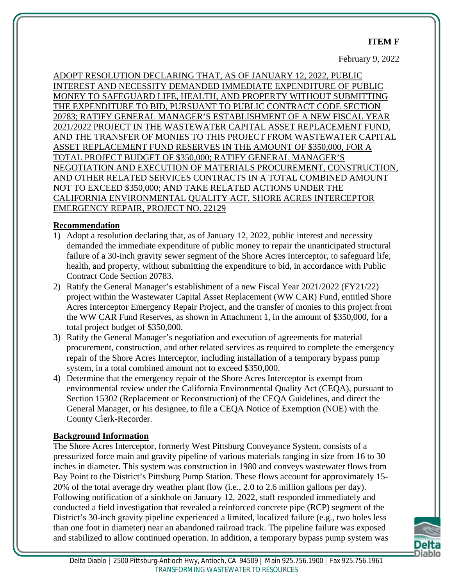#### **ITEM F**

February 9, 2022

ADOPT RESOLUTION DECLARING THAT, AS OF JANUARY 12, 2022, PUBLIC INTEREST AND NECESSITY DEMANDED IMMEDIATE EXPENDITURE OF PUBLIC MONEY TO SAFEGUARD LIFE, HEALTH, AND PROPERTY WITHOUT SUBMITTING THE EXPENDITURE TO BID, PURSUANT TO PUBLIC CONTRACT CODE SECTION 20783; RATIFY GENERAL MANAGER'S ESTABLISHMENT OF A NEW FISCAL YEAR 2021/2022 PROJECT IN THE WASTEWATER CAPITAL ASSET REPLACEMENT FUND, AND THE TRANSFER OF MONIES TO THIS PROJECT FROM WASTEWATER CAPITAL ASSET REPLACEMENT FUND RESERVES IN THE AMOUNT OF \$350,000, FOR A TOTAL PROJECT BUDGET OF \$350,000; RATIFY GENERAL MANAGER'S NEGOTIATION AND EXECUTION OF MATERIALS PROCUREMENT, CONSTRUCTION, AND OTHER RELATED SERVICES CONTRACTS IN A TOTAL COMBINED AMOUNT NOT TO EXCEED \$350,000; AND TAKE RELATED ACTIONS UNDER THE CALIFORNIA ENVIRONMENTAL QUALITY ACT, SHORE ACRES INTERCEPTOR EMERGENCY REPAIR, PROJECT NO. 22129

#### **Recommendation**

- 1) Adopt a resolution declaring that, as of January 12, 2022, public interest and necessity demanded the immediate expenditure of public money to repair the unanticipated structural failure of a 30-inch gravity sewer segment of the Shore Acres Interceptor, to safeguard life, health, and property, without submitting the expenditure to bid, in accordance with Public Contract Code Section 20783.
- 2) Ratify the General Manager's establishment of a new Fiscal Year 2021/2022 (FY21/22) project within the Wastewater Capital Asset Replacement (WW CAR) Fund, entitled Shore Acres Interceptor Emergency Repair Project, and the transfer of monies to this project from the WW CAR Fund Reserves, as shown in Attachment 1, in the amount of \$350,000, for a total project budget of \$350,000.
- 3) Ratify the General Manager's negotiation and execution of agreements for material procurement, construction, and other related services as required to complete the emergency repair of the Shore Acres Interceptor, including installation of a temporary bypass pump system, in a total combined amount not to exceed \$350,000.
- 4) Determine that the emergency repair of the Shore Acres Interceptor is exempt from environmental review under the California Environmental Quality Act (CEQA), pursuant to Section 15302 (Replacement or Reconstruction) of the CEQA Guidelines, and direct the General Manager, or his designee, to file a CEQA Notice of Exemption (NOE) with the County Clerk-Recorder.

#### **Background Information**

The Shore Acres Interceptor, formerly West Pittsburg Conveyance System, consists of a pressurized force main and gravity pipeline of various materials ranging in size from 16 to 30 inches in diameter. This system was construction in 1980 and conveys wastewater flows from Bay Point to the District's Pittsburg Pump Station. These flows account for approximately 15- 20% of the total average dry weather plant flow (i.e., 2.0 to 2.6 million gallons per day). Following notification of a sinkhole on January 12, 2022, staff responded immediately and conducted a field investigation that revealed a reinforced concrete pipe (RCP) segment of the District's 30-inch gravity pipeline experienced a limited, localized failure (e.g., two holes less than one foot in diameter) near an abandoned railroad track. The pipeline failure was exposed and stabilized to allow continued operation. In addition, a temporary bypass pump system was

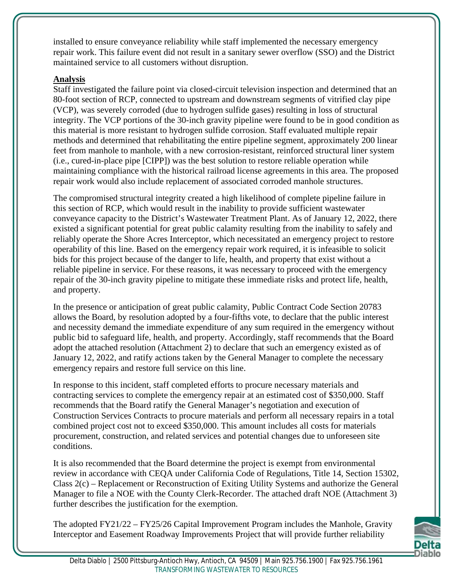installed to ensure conveyance reliability while staff implemented the necessary emergency repair work. This failure event did not result in a sanitary sewer overflow (SSO) and the District maintained service to all customers without disruption.

### **Analysis**

Staff investigated the failure point via closed-circuit television inspection and determined that an 80-foot section of RCP, connected to upstream and downstream segments of vitrified clay pipe (VCP), was severely corroded (due to hydrogen sulfide gases) resulting in loss of structural integrity. The VCP portions of the 30-inch gravity pipeline were found to be in good condition as this material is more resistant to hydrogen sulfide corrosion. Staff evaluated multiple repair methods and determined that rehabilitating the entire pipeline segment, approximately 200 linear feet from manhole to manhole, with a new corrosion-resistant, reinforced structural liner system (i.e., cured-in-place pipe [CIPP]) was the best solution to restore reliable operation while maintaining compliance with the historical railroad license agreements in this area. The proposed repair work would also include replacement of associated corroded manhole structures.

The compromised structural integrity created a high likelihood of complete pipeline failure in this section of RCP, which would result in the inability to provide sufficient wastewater conveyance capacity to the District's Wastewater Treatment Plant. As of January 12, 2022, there existed a significant potential for great public calamity resulting from the inability to safely and reliably operate the Shore Acres Interceptor, which necessitated an emergency project to restore operability of this line. Based on the emergency repair work required, it is infeasible to solicit bids for this project because of the danger to life, health, and property that exist without a reliable pipeline in service. For these reasons, it was necessary to proceed with the emergency repair of the 30-inch gravity pipeline to mitigate these immediate risks and protect life, health, and property.

In the presence or anticipation of great public calamity, Public Contract Code Section 20783 allows the Board, by resolution adopted by a four-fifths vote, to declare that the public interest and necessity demand the immediate expenditure of any sum required in the emergency without public bid to safeguard life, health, and property. Accordingly, staff recommends that the Board adopt the attached resolution (Attachment 2) to declare that such an emergency existed as of January 12, 2022, and ratify actions taken by the General Manager to complete the necessary emergency repairs and restore full service on this line.

In response to this incident, staff completed efforts to procure necessary materials and contracting services to complete the emergency repair at an estimated cost of \$350,000. Staff recommends that the Board ratify the General Manager's negotiation and execution of Construction Services Contracts to procure materials and perform all necessary repairs in a total combined project cost not to exceed \$350,000. This amount includes all costs for materials procurement, construction, and related services and potential changes due to unforeseen site conditions.

It is also recommended that the Board determine the project is exempt from environmental review in accordance with CEQA under California Code of Regulations, Title 14, Section 15302, Class 2(c) – Replacement or Reconstruction of Exiting Utility Systems and authorize the General Manager to file a NOE with the County Clerk-Recorder. The attached draft NOE (Attachment 3) further describes the justification for the exemption.

The adopted FY21/22 – FY25/26 Capital Improvement Program includes the Manhole, Gravity Interceptor and Easement Roadway Improvements Project that will provide further reliability

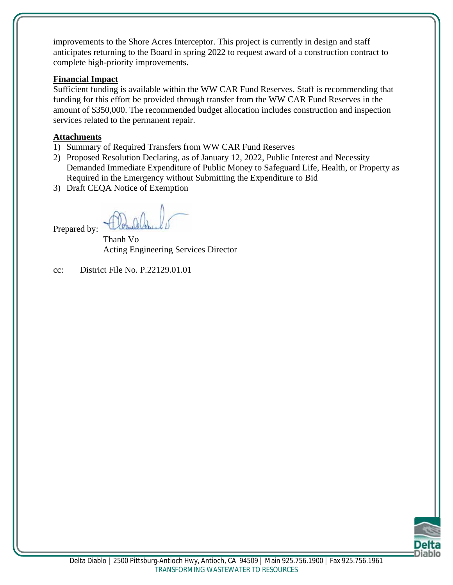improvements to the Shore Acres Interceptor. This project is currently in design and staff anticipates returning to the Board in spring 2022 to request award of a construction contract to complete high-priority improvements.

#### **Financial Impact**

Sufficient funding is available within the WW CAR Fund Reserves. Staff is recommending that funding for this effort be provided through transfer from the WW CAR Fund Reserves in the amount of \$350,000. The recommended budget allocation includes construction and inspection services related to the permanent repair.

#### **Attachments**

- 1) Summary of Required Transfers from WW CAR Fund Reserves
- 2) Proposed Resolution Declaring, as of January 12, 2022, Public Interest and Necessity Demanded Immediate Expenditure of Public Money to Safeguard Life, Health, or Property as Required in the Emergency without Submitting the Expenditure to Bid
- 3) Draft CEQA Notice of Exemption

Prepared by:

Thanh Vo Acting Engineering Services Director

cc: District File No. P.22129.01.01

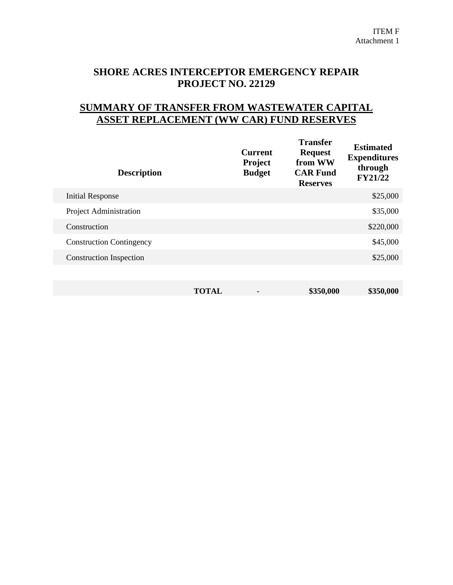# **SHORE ACRES INTERCEPTOR EMERGENCY REPAIR PROJECT NO. 22129**

# **SUMMARY OF TRANSFER FROM WASTEWATER CAPITAL ASSET REPLACEMENT (WW CAR) FUND RESERVES**

| <b>Description</b>              |              | <b>Current</b><br>Project<br><b>Budget</b> | <b>Transfer</b><br><b>Request</b><br>from WW<br><b>CAR Fund</b><br><b>Reserves</b> | <b>Estimated</b><br><b>Expenditures</b><br>through<br><b>FY21/22</b> |
|---------------------------------|--------------|--------------------------------------------|------------------------------------------------------------------------------------|----------------------------------------------------------------------|
| <b>Initial Response</b>         |              |                                            |                                                                                    | \$25,000                                                             |
| Project Administration          |              |                                            |                                                                                    | \$35,000                                                             |
| Construction                    |              |                                            |                                                                                    | \$220,000                                                            |
| <b>Construction Contingency</b> |              |                                            |                                                                                    | \$45,000                                                             |
| <b>Construction Inspection</b>  |              |                                            |                                                                                    | \$25,000                                                             |
|                                 |              |                                            |                                                                                    |                                                                      |
|                                 | <b>TOTAL</b> |                                            | \$350,000                                                                          | \$350,000                                                            |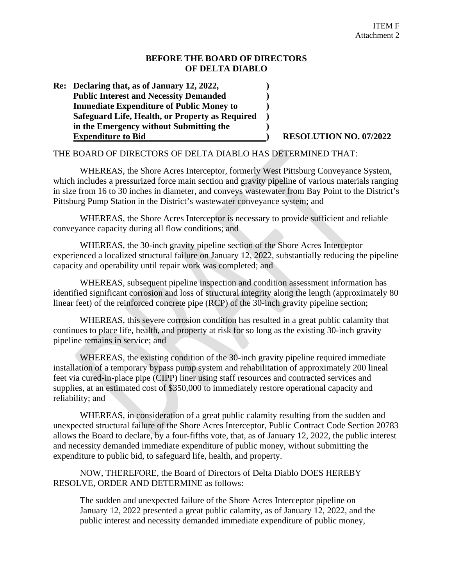#### **BEFORE THE BOARD OF DIRECTORS OF DELTA DIABLO**

**Re: Declaring that, as of January 12, 2022, ) Public Interest and Necessity Demanded ) Immediate Expenditure of Public Money to ) Safeguard Life, Health, or Property as Required ) in the Emergency without Submitting the ) Expenditure to Bid ) RESOLUTION NO. 07/2022**

#### THE BOARD OF DIRECTORS OF DELTA DIABLO HAS DETERMINED THAT:

WHEREAS, the Shore Acres Interceptor, formerly West Pittsburg Conveyance System, which includes a pressurized force main section and gravity pipeline of various materials ranging in size from 16 to 30 inches in diameter, and conveys wastewater from Bay Point to the District's Pittsburg Pump Station in the District's wastewater conveyance system; and

WHEREAS, the Shore Acres Interceptor is necessary to provide sufficient and reliable conveyance capacity during all flow conditions; and

WHEREAS, the 30-inch gravity pipeline section of the Shore Acres Interceptor experienced a localized structural failure on January 12, 2022, substantially reducing the pipeline capacity and operability until repair work was completed; and

WHEREAS, subsequent pipeline inspection and condition assessment information has identified significant corrosion and loss of structural integrity along the length (approximately 80 linear feet) of the reinforced concrete pipe (RCP) of the 30-inch gravity pipeline section;

WHEREAS, this severe corrosion condition has resulted in a great public calamity that continues to place life, health, and property at risk for so long as the existing 30-inch gravity pipeline remains in service; and

WHEREAS, the existing condition of the 30-inch gravity pipeline required immediate installation of a temporary bypass pump system and rehabilitation of approximately 200 lineal feet via cured-in-place pipe (CIPP) liner using staff resources and contracted services and supplies, at an estimated cost of \$350,000 to immediately restore operational capacity and reliability; and

WHEREAS, in consideration of a great public calamity resulting from the sudden and unexpected structural failure of the Shore Acres Interceptor, Public Contract Code Section 20783 allows the Board to declare, by a four-fifths vote, that, as of January 12, 2022, the public interest and necessity demanded immediate expenditure of public money, without submitting the expenditure to public bid, to safeguard life, health, and property.

NOW, THEREFORE, the Board of Directors of Delta Diablo DOES HEREBY RESOLVE, ORDER AND DETERMINE as follows:

The sudden and unexpected failure of the Shore Acres Interceptor pipeline on January 12, 2022 presented a great public calamity, as of January 12, 2022, and the public interest and necessity demanded immediate expenditure of public money,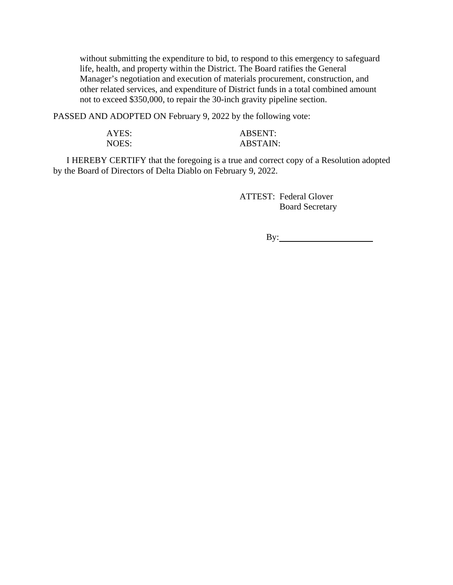without submitting the expenditure to bid, to respond to this emergency to safeguard life, health, and property within the District. The Board ratifies the General Manager's negotiation and execution of materials procurement, construction, and other related services, and expenditure of District funds in a total combined amount not to exceed \$350,000, to repair the 30-inch gravity pipeline section.

PASSED AND ADOPTED ON February 9, 2022 by the following vote:

| AYES: | <b>ABSENT:</b>  |
|-------|-----------------|
| NOES: | <b>ABSTAIN:</b> |

I HEREBY CERTIFY that the foregoing is a true and correct copy of a Resolution adopted by the Board of Directors of Delta Diablo on February 9, 2022.

> ATTEST: Federal Glover Board Secretary

> > By: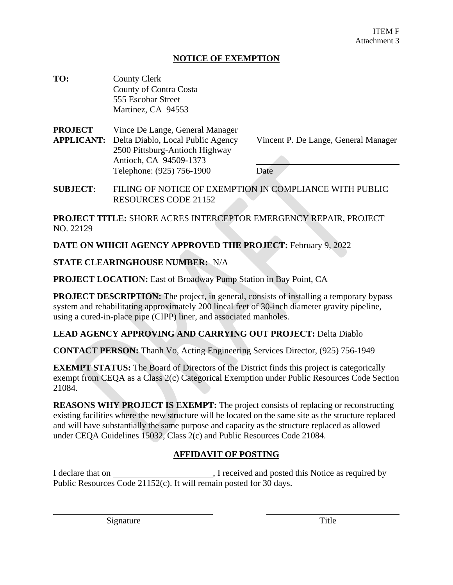#### **NOTICE OF EXEMPTION**

| TO: | <b>County Clerk</b>    |
|-----|------------------------|
|     | County of Contra Costa |
|     | 555 Escobar Street     |
|     | Martinez, CA 94553     |

**PROJECT** Vince De Lange, General Manager **APPLICANT:** Delta Diablo, Local Public Agency Vincent P. De Lange, General Manager 2500 Pittsburg-Antioch Highway Antioch, CA 94509-1373 Telephone: (925) 756-1900 Date

**SUBJECT**: FILING OF NOTICE OF EXEMPTION IN COMPLIANCE WITH PUBLIC RESOURCES CODE 21152

**PROJECT TITLE:** SHORE ACRES INTERCEPTOR EMERGENCY REPAIR, PROJECT NO. 22129

**DATE ON WHICH AGENCY APPROVED THE PROJECT:** February 9, 2022

#### **STATE CLEARINGHOUSE NUMBER:** N/A

**PROJECT LOCATION:** East of Broadway Pump Station in Bay Point, CA

**PROJECT DESCRIPTION:** The project, in general, consists of installing a temporary bypass system and rehabilitating approximately 200 lineal feet of 30-inch diameter gravity pipeline, using a cured-in-place pipe (CIPP) liner, and associated manholes.

#### **LEAD AGENCY APPROVING AND CARRYING OUT PROJECT:** Delta Diablo

**CONTACT PERSON:** Thanh Vo, Acting Engineering Services Director, (925) 756-1949

**EXEMPT STATUS:** The Board of Directors of the District finds this project is categorically exempt from CEQA as a Class 2(c) Categorical Exemption under Public Resources Code Section 21084.

**REASONS WHY PROJECT IS EXEMPT:** The project consists of replacing or reconstructing existing facilities where the new structure will be located on the same site as the structure replaced and will have substantially the same purpose and capacity as the structure replaced as allowed under CEQA Guidelines 15032, Class 2(c) and Public Resources Code 21084.

#### **AFFIDAVIT OF POSTING**

I declare that on , I received and posted this Notice as required by Public Resources Code 21152(c). It will remain posted for 30 days.

Signature Title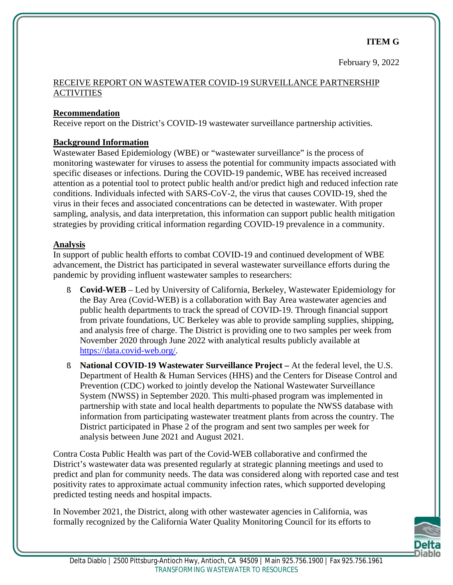February 9, 2022

#### RECEIVE REPORT ON WASTEWATER COVID-19 SURVEILLANCE PARTNERSHIP **ACTIVITIES**

#### **Recommendation**

Receive report on the District's COVID-19 wastewater surveillance partnership activities.

#### **Background Information**

Wastewater Based Epidemiology (WBE) or "wastewater surveillance" is the process of monitoring wastewater for viruses to assess the potential for community impacts associated with specific diseases or infections. During the COVID-19 pandemic, WBE has received increased attention as a potential tool to protect public health and/or predict high and reduced infection rate conditions. Individuals infected with SARS-CoV-2, the virus that causes COVID-19, shed the virus in their feces and associated concentrations can be detected in wastewater. With proper sampling, analysis, and data interpretation, this information can support public health mitigation strategies by providing critical information regarding COVID-19 prevalence in a community.

#### **Analysis**

In support of public health efforts to combat COVID-19 and continued development of WBE advancement, the District has participated in several wastewater surveillance efforts during the pandemic by providing influent wastewater samples to researchers:

- § **Covid-WEB** Led by University of California, Berkeley, Wastewater Epidemiology for the Bay Area (Covid-WEB) is a collaboration with Bay Area wastewater agencies and public health departments to track the spread of COVID-19. Through financial support from private foundations, UC Berkeley was able to provide sampling supplies, shipping, and analysis free of charge. The District is providing one to two samples per week from November 2020 through June 2022 with analytical results publicly available at https://data.covid-web.org/.
- § **National COVID-19 Wastewater Surveillance Project –** At the federal level, the U.S. Department of Health & Human Services (HHS) and the Centers for Disease Control and Prevention (CDC) worked to jointly develop the National Wastewater Surveillance System (NWSS) in September 2020. This multi-phased program was implemented in partnership with state and local health departments to populate the NWSS database with information from participating wastewater treatment plants from across the country. The District participated in Phase 2 of the program and sent two samples per week for analysis between June 2021 and August 2021.

Contra Costa Public Health was part of the Covid-WEB collaborative and confirmed the District's wastewater data was presented regularly at strategic planning meetings and used to predict and plan for community needs. The data was considered along with reported case and test positivity rates to approximate actual community infection rates, which supported developing predicted testing needs and hospital impacts.

In November 2021, the District, along with other wastewater agencies in California, was formally recognized by the California Water Quality Monitoring Council for its efforts to

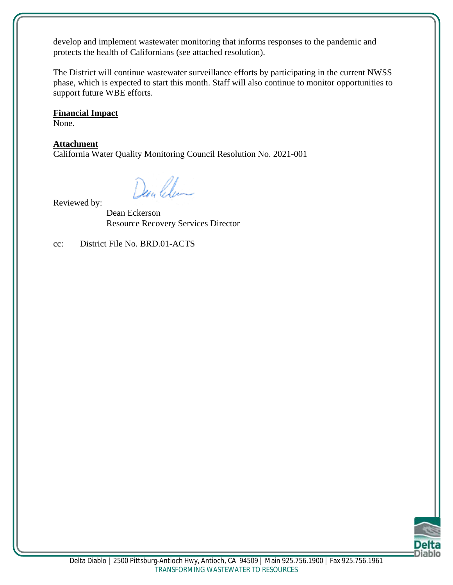develop and implement wastewater monitoring that informs responses to the pandemic and protects the health of Californians (see attached resolution).

The District will continue wastewater surveillance efforts by participating in the current NWSS phase, which is expected to start this month. Staff will also continue to monitor opportunities to support future WBE efforts.

#### **Financial Impact**

None.

#### **Attachment**

California Water Quality Monitoring Council Resolution No. 2021-001

Den Clea

Reviewed by:

Dean Eckerson Resource Recovery Services Director

cc: District File No. BRD.01-ACTS

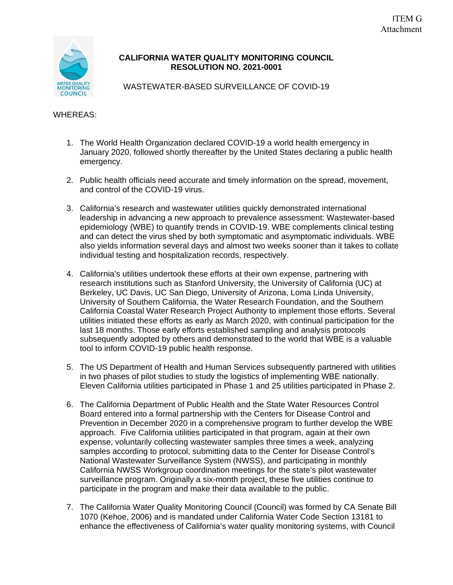

#### **CALIFORNIA WATER QUALITY MONITORING COUNCIL RESOLUTION NO. 2021-0001**

WASTEWATER-BASED SURVEILLANCE OF COVID-19

#### WHEREAS:

- 1. The World Health Organization declared COVID-19 a world health emergency in January 2020, followed shortly thereafter by the United States declaring a public health emergency.
- 2. Public health officials need accurate and timely information on the spread, movement, and control of the COVID-19 virus.
- 3. California's research and wastewater utilities quickly demonstrated international leadership in advancing a new approach to prevalence assessment: Wastewater-based epidemiology (WBE) to quantify trends in COVID-19. WBE complements clinical testing and can detect the virus shed by both symptomatic and asymptomatic individuals. WBE also yields information several days and almost two weeks sooner than it takes to collate individual testing and hospitalization records, respectively.
- 4. California's utilities undertook these efforts at their own expense, partnering with research institutions such as Stanford University, the University of California (UC) at Berkeley, UC Davis, UC San Diego, University of Arizona, Loma Linda University, University of Southern California, the Water Research Foundation, and the Southern California Coastal Water Research Project Authority to implement those efforts. Several utilities initiated these efforts as early as March 2020, with continual participation for the last 18 months. Those early efforts established sampling and analysis protocols subsequently adopted by others and demonstrated to the world that WBE is a valuable tool to inform COVID-19 public health response.
- 5. The US Department of Health and Human Services subsequently partnered with utilities in two phases of pilot studies to study the logistics of implementing WBE nationally. Eleven California utilities participated in Phase 1 and 25 utilities participated in Phase 2.
- 6. The California Department of Public Health and the State Water Resources Control Board entered into a formal partnership with the Centers for Disease Control and Prevention in December 2020 in a comprehensive program to further develop the WBE approach. Five California utilities participated in that program, again at their own expense, voluntarily collecting wastewater samples three times a week, analyzing samples according to protocol, submitting data to the Center for Disease Control's National Wastewater Surveillance System (NWSS), and participating in monthly California NWSS Workgroup coordination meetings for the state's pilot wastewater surveillance program. Originally a six-month project, these five utilities continue to participate in the program and make their data available to the public.
- 7. The California Water Quality Monitoring Council (Council) was formed by CA Senate Bill 1070 (Kehoe, 2006) and is mandated under California Water Code Section 13181 to enhance the effectiveness of California's water quality monitoring systems, with Council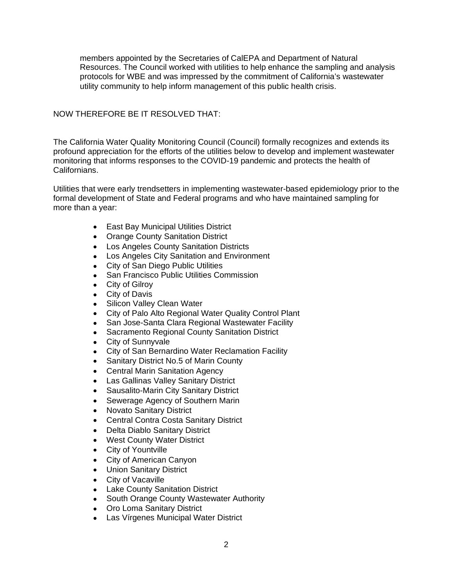members appointed by the Secretaries of CalEPA and Department of Natural Resources. The Council worked with utilities to help enhance the sampling and analysis protocols for WBE and was impressed by the commitment of California's wastewater utility community to help inform management of this public health crisis.

#### NOW THEREFORE BE IT RESOLVED THAT:

The California Water Quality Monitoring Council (Council) formally recognizes and extends its profound appreciation for the efforts of the utilities below to develop and implement wastewater monitoring that informs responses to the COVID-19 pandemic and protects the health of Californians.

Utilities that were early trendsetters in implementing wastewater-based epidemiology prior to the formal development of State and Federal programs and who have maintained sampling for more than a year:

- · East Bay Municipal Utilities District
- · Orange County Sanitation District
- · Los Angeles County Sanitation Districts
- · Los Angeles City Sanitation and Environment
- · City of San Diego Public Utilities
- · San Francisco Public Utilities Commission
- City of Gilroy
- · City of Davis
- Silicon Valley Clean Water
- City of Palo Alto Regional Water Quality Control Plant
- San Jose-Santa Clara Regional Wastewater Facility
- · Sacramento Regional County Sanitation District
- · City of Sunnyvale
- · City of San Bernardino Water Reclamation Facility
- · Sanitary District No.5 of Marin County
- · Central Marin Sanitation Agency
- · Las Gallinas Valley Sanitary District
- Sausalito-Marin City Sanitary District
- · Sewerage Agency of Southern Marin
- · Novato Sanitary District
- · Central Contra Costa Sanitary District
- · Delta Diablo Sanitary District
- · West County Water District
- · City of Yountville
- · City of American Canyon
- · Union Sanitary District
- · City of Vacaville
- · Lake County Sanitation District
- · South Orange County Wastewater Authority
- · Oro Loma Sanitary District
- · Las Vírgenes Municipal Water District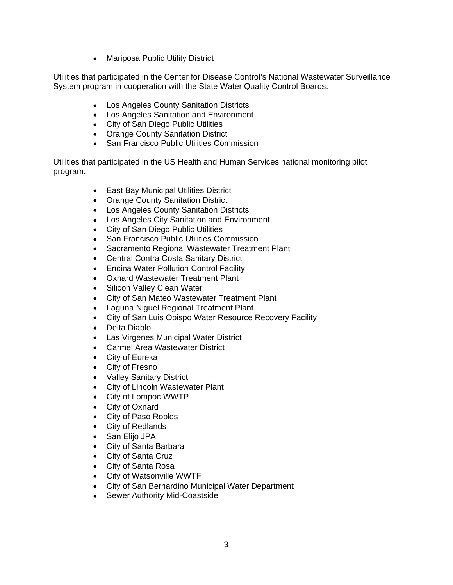• Mariposa Public Utility District

Utilities that participated in the Center for Disease Control's National Wastewater Surveillance System program in cooperation with the State Water Quality Control Boards:

- · Los Angeles County Sanitation Districts
- · Los Angeles Sanitation and Environment
- · City of San Diego Public Utilities
- · Orange County Sanitation District
- San Francisco Public Utilities Commission

Utilities that participated in the US Health and Human Services national monitoring pilot program:

- · East Bay Municipal Utilities District
- · Orange County Sanitation District
- · Los Angeles County Sanitation Districts
- · Los Angeles City Sanitation and Environment
- · City of San Diego Public Utilities
- · San Francisco Public Utilities Commission
- · Sacramento Regional Wastewater Treatment Plant
- · Central Contra Costa Sanitary District
- · Encina Water Pollution Control Facility
- · Oxnard Wastewater Treatment Plant
- · Silicon Valley Clean Water
- · City of San Mateo Wastewater Treatment Plant
- · Laguna Niguel Regional Treatment Plant
- · City of San Luis Obispo Water Resource Recovery Facility
- · Delta Diablo
- · Las Virgenes Municipal Water District
- · Carmel Area Wastewater District
- · City of Eureka
- · City of Fresno
- · Valley Sanitary District
- · City of Lincoln Wastewater Plant
- · City of Lompoc WWTP
- · City of Oxnard
- · City of Paso Robles
- · City of Redlands
- · San Elijo JPA
- · City of Santa Barbara
- · City of Santa Cruz
- · City of Santa Rosa
- · City of Watsonville WWTF
- · City of San Bernardino Municipal Water Department
- · Sewer Authority Mid-Coastside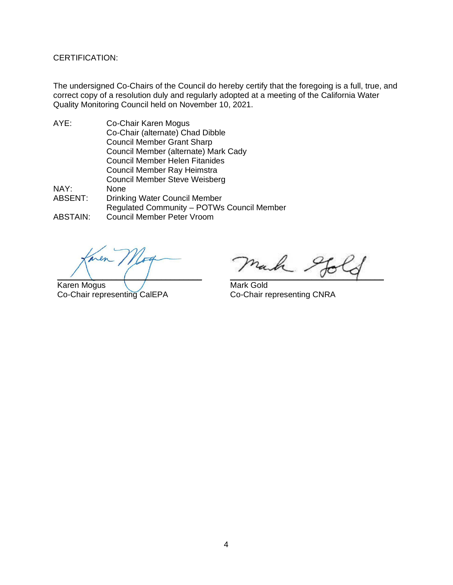CERTIFICATION:

The undersigned Co-Chairs of the Council do hereby certify that the foregoing is a full, true, and correct copy of a resolution duly and regularly adopted at a meeting of the California Water Quality Monitoring Council held on November 10, 2021.

- AYE: Co-Chair Karen Mogus Co-Chair (alternate) Chad Dibble Council Member Grant Sharp Council Member (alternate) Mark Cady Council Member Helen Fitanides Council Member Ray Heimstra Council Member Steve Weisberg NAY: None ABSENT: Drinking Water Council Member Regulated Community – POTWs Council Member
- ABSTAIN: Council Member Peter Vroom

 $\overline{\phantom{a}}$ 

Karen Mogus Co-Chair representing CalEPA

 $\vee$   $\vee$   $\vee$   $\vee$ 

Mark Gold Co-Chair representing CNRA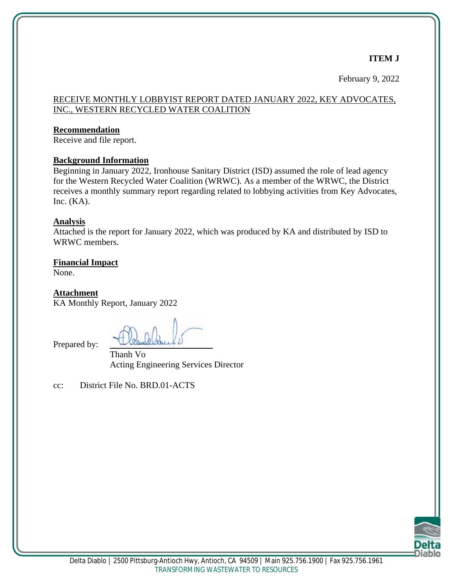## **ITEM J**

February 9, 2022

#### RECEIVE MONTHLY LOBBYIST REPORT DATED JANUARY 2022, KEY ADVOCATES, INC., WESTERN RECYCLED WATER COALITION

#### **Recommendation**

Receive and file report.

#### **Background Information**

Beginning in January 2022, Ironhouse Sanitary District (ISD) assumed the role of lead agency for the Western Recycled Water Coalition (WRWC). As a member of the WRWC, the District receives a monthly summary report regarding related to lobbying activities from Key Advocates, Inc.  $(KA)$ .

#### **Analysis**

Attached is the report for January 2022, which was produced by KA and distributed by ISD to WRWC members.

**Financial Impact**

None.

**Attachment**

KA Monthly Report, January 2022

Prepared by:

Thanh Vo Acting Engineering Services Director

cc: District File No. BRD.01-ACTS

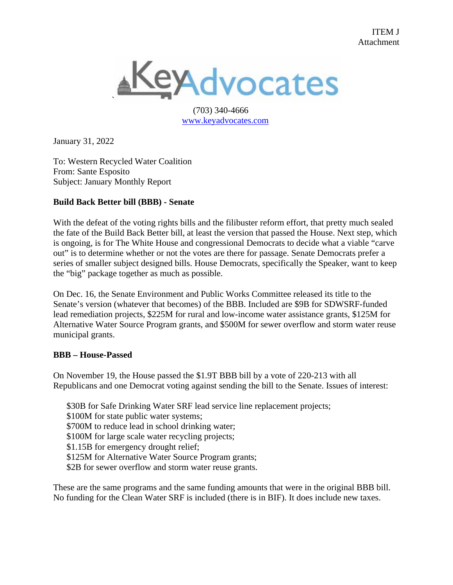

 (703) 340-4666 www.keyadvocates.com

January 31, 2022

To: Western Recycled Water Coalition From: Sante Esposito Subject: January Monthly Report

#### **Build Back Better bill (BBB) - Senate**

With the defeat of the voting rights bills and the filibuster reform effort, that pretty much sealed the fate of the Build Back Better bill, at least the version that passed the House. Next step, which is ongoing, is for The White House and congressional Democrats to decide what a viable "carve out" is to determine whether or not the votes are there for passage. Senate Democrats prefer a series of smaller subject designed bills. House Democrats, specifically the Speaker, want to keep the "big" package together as much as possible.

On Dec. 16, the Senate Environment and Public Works Committee released its title to the Senate's version (whatever that becomes) of the BBB. Included are \$9B for SDWSRF-funded lead remediation projects, \$225M for rural and low-income water assistance grants, \$125M for Alternative Water Source Program grants, and \$500M for sewer overflow and storm water reuse municipal grants.

#### **BBB – House-Passed**

On November 19, the House passed the \$1.9T BBB bill by a vote of 220-213 with all Republicans and one Democrat voting against sending the bill to the Senate. Issues of interest:

 \$30B for Safe Drinking Water SRF lead service line replacement projects; \$100M for state public water systems; \$700M to reduce lead in school drinking water; \$100M for large scale water recycling projects; \$1.15B for emergency drought relief; \$125M for Alternative Water Source Program grants; \$2B for sewer overflow and storm water reuse grants.

These are the same programs and the same funding amounts that were in the original BBB bill. No funding for the Clean Water SRF is included (there is in BIF). It does include new taxes.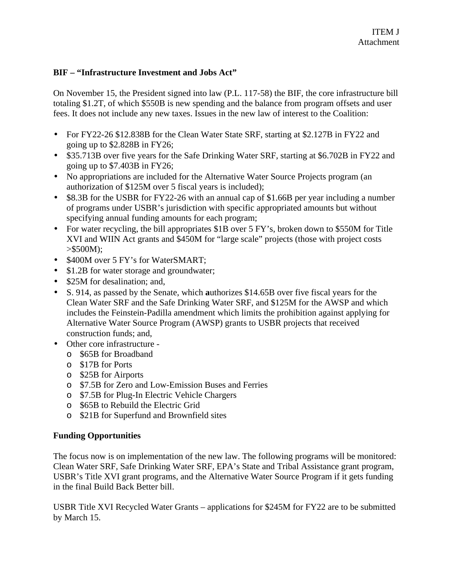#### **BIF – "Infrastructure Investment and Jobs Act"**

On November 15, the President signed into law (P.L. 117-58) the BIF, the core infrastructure bill totaling \$1.2T, of which \$550B is new spending and the balance from program offsets and user fees. It does not include any new taxes. Issues in the new law of interest to the Coalition:

- For FY22-26 \$12.838B for the Clean Water State SRF, starting at \$2.127B in FY22 and going up to \$2.828B in FY26;
- \$35.713B over five years for the Safe Drinking Water SRF, starting at \$6.702B in FY22 and going up to \$7.403B in FY26;
- No appropriations are included for the Alternative Water Source Projects program (an authorization of \$125M over 5 fiscal years is included);
- \$8.3B for the USBR for FY22-26 with an annual cap of \$1.66B per year including a number of programs under USBR's jurisdiction with specific appropriated amounts but without specifying annual funding amounts for each program;
- For water recycling, the bill appropriates \$1B over 5 FY's, broken down to \$550M for Title XVI and WIIN Act grants and \$450M for "large scale" projects (those with project costs  $> $500M$ :
- \$400M over 5 FY's for WaterSMART;
- $\cdot$  \$1.2B for water storage and groundwater;
- \$25M for desalination; and,
- S. 914, as passed by the Senate, which **a**uthorizes \$14.65B over five fiscal years for the Clean Water SRF and the Safe Drinking Water SRF, and \$125M for the AWSP and which includes the Feinstein-Padilla amendment which limits the prohibition against applying for Alternative Water Source Program (AWSP) grants to USBR projects that received construction funds; and,
- Other core infrastructure
	- o \$65B for Broadband
	- o \$17B for Ports
	- o \$25B for Airports
	- o \$7.5B for Zero and Low-Emission Buses and Ferries
	- o \$7.5B for Plug-In Electric Vehicle Chargers
	- o \$65B to Rebuild the Electric Grid
	- o \$21B for Superfund and Brownfield sites

#### **Funding Opportunities**

The focus now is on implementation of the new law. The following programs will be monitored: Clean Water SRF, Safe Drinking Water SRF, EPA's State and Tribal Assistance grant program, USBR's Title XVI grant programs, and the Alternative Water Source Program if it gets funding in the final Build Back Better bill.

USBR Title XVI Recycled Water Grants – applications for \$245M for FY22 are to be submitted by March 15.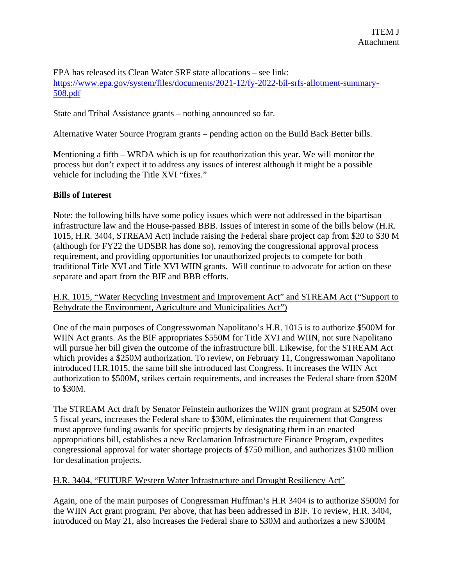EPA has released its Clean Water SRF state allocations – see link: https://www.epa.gov/system/files/documents/2021-12/fy-2022-bil-srfs-allotment-summary-508.pdf

State and Tribal Assistance grants – nothing announced so far.

Alternative Water Source Program grants – pending action on the Build Back Better bills.

Mentioning a fifth – WRDA which is up for reauthorization this year. We will monitor the process but don't expect it to address any issues of interest although it might be a possible vehicle for including the Title XVI "fixes."

#### **Bills of Interest**

Note: the following bills have some policy issues which were not addressed in the bipartisan infrastructure law and the House-passed BBB. Issues of interest in some of the bills below (H.R. 1015, H.R. 3404, STREAM Act) include raising the Federal share project cap from \$20 to \$30 M (although for FY22 the UDSBR has done so), removing the congressional approval process requirement, and providing opportunities for unauthorized projects to compete for both traditional Title XVI and Title XVI WIIN grants. Will continue to advocate for action on these separate and apart from the BIF and BBB efforts.

H.R. 1015, "Water Recycling Investment and Improvement Act" and STREAM Act ("Support to Rehydrate the Environment, Agriculture and Municipalities Act")

One of the main purposes of Congresswoman Napolitano's H.R. 1015 is to authorize \$500M for WIIN Act grants. As the BIF appropriates \$550M for Title XVI and WIIN, not sure Napolitano will pursue her bill given the outcome of the infrastructure bill. Likewise, for the STREAM Act which provides a \$250M authorization. To review, on February 11, Congresswoman Napolitano introduced H.R.1015, the same bill she introduced last Congress. It increases the WIIN Act authorization to \$500M, strikes certain requirements, and increases the Federal share from \$20M to \$30M.

The STREAM Act draft by Senator Feinstein authorizes the WIIN grant program at \$250M over 5 fiscal years, increases the Federal share to \$30M, eliminates the requirement that Congress must approve funding awards for specific projects by designating them in an enacted appropriations bill, establishes a new Reclamation Infrastructure Finance Program, expedites congressional approval for water shortage projects of \$750 million, and authorizes \$100 million for desalination projects.

#### H.R. 3404, "FUTURE Western Water Infrastructure and Drought Resiliency Act"

Again, one of the main purposes of Congressman Huffman's H.R 3404 is to authorize \$500M for the WIIN Act grant program. Per above, that has been addressed in BIF. To review, H.R. 3404, introduced on May 21, also increases the Federal share to \$30M and authorizes a new \$300M